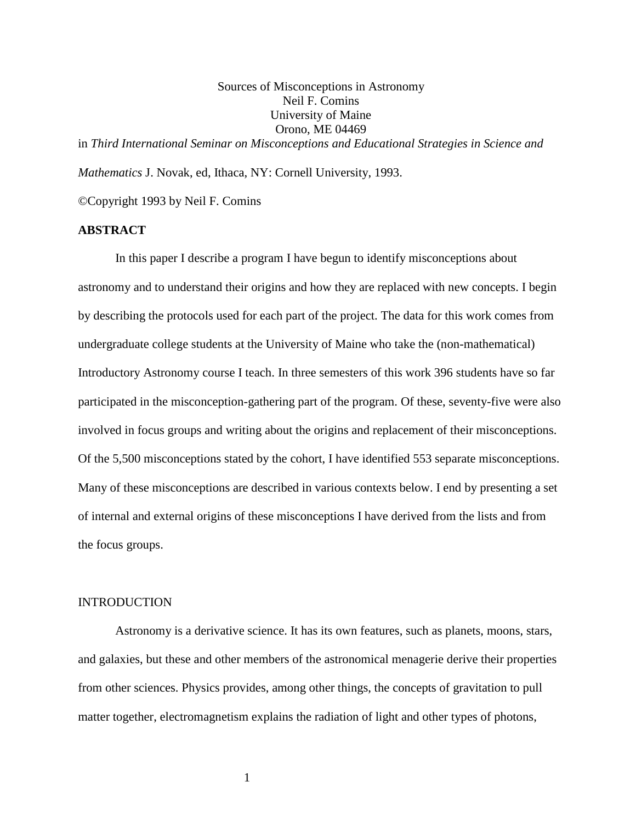Sources of Misconceptions in Astronomy Neil F. Comins University of Maine Orono, ME 04469 in *Third International Seminar on Misconceptions and Educational Strategies in Science and* 

*Mathematics* J. Novak, ed, Ithaca, NY: Cornell University, 1993.

©Copyright 1993 by Neil F. Comins

# **ABSTRACT**

In this paper I describe a program I have begun to identify misconceptions about astronomy and to understand their origins and how they are replaced with new concepts. I begin by describing the protocols used for each part of the project. The data for this work comes from undergraduate college students at the University of Maine who take the (non-mathematical) Introductory Astronomy course I teach. In three semesters of this work 396 students have so far participated in the misconception-gathering part of the program. Of these, seventy-five were also involved in focus groups and writing about the origins and replacement of their misconceptions. Of the 5,500 misconceptions stated by the cohort, I have identified 553 separate misconceptions. Many of these misconceptions are described in various contexts below. I end by presenting a set of internal and external origins of these misconceptions I have derived from the lists and from the focus groups.

#### INTRODUCTION

Astronomy is a derivative science. It has its own features, such as planets, moons, stars, and galaxies, but these and other members of the astronomical menagerie derive their properties from other sciences. Physics provides, among other things, the concepts of gravitation to pull matter together, electromagnetism explains the radiation of light and other types of photons,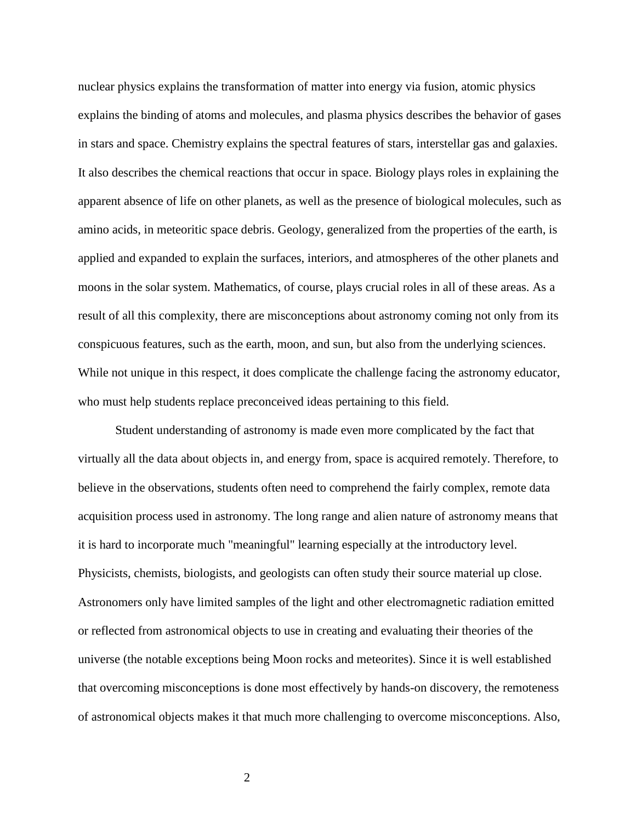nuclear physics explains the transformation of matter into energy via fusion, atomic physics explains the binding of atoms and molecules, and plasma physics describes the behavior of gases in stars and space. Chemistry explains the spectral features of stars, interstellar gas and galaxies. It also describes the chemical reactions that occur in space. Biology plays roles in explaining the apparent absence of life on other planets, as well as the presence of biological molecules, such as amino acids, in meteoritic space debris. Geology, generalized from the properties of the earth, is applied and expanded to explain the surfaces, interiors, and atmospheres of the other planets and moons in the solar system. Mathematics, of course, plays crucial roles in all of these areas. As a result of all this complexity, there are misconceptions about astronomy coming not only from its conspicuous features, such as the earth, moon, and sun, but also from the underlying sciences. While not unique in this respect, it does complicate the challenge facing the astronomy educator, who must help students replace preconceived ideas pertaining to this field.

Student understanding of astronomy is made even more complicated by the fact that virtually all the data about objects in, and energy from, space is acquired remotely. Therefore, to believe in the observations, students often need to comprehend the fairly complex, remote data acquisition process used in astronomy. The long range and alien nature of astronomy means that it is hard to incorporate much "meaningful" learning especially at the introductory level. Physicists, chemists, biologists, and geologists can often study their source material up close. Astronomers only have limited samples of the light and other electromagnetic radiation emitted or reflected from astronomical objects to use in creating and evaluating their theories of the universe (the notable exceptions being Moon rocks and meteorites). Since it is well established that overcoming misconceptions is done most effectively by hands-on discovery, the remoteness of astronomical objects makes it that much more challenging to overcome misconceptions. Also,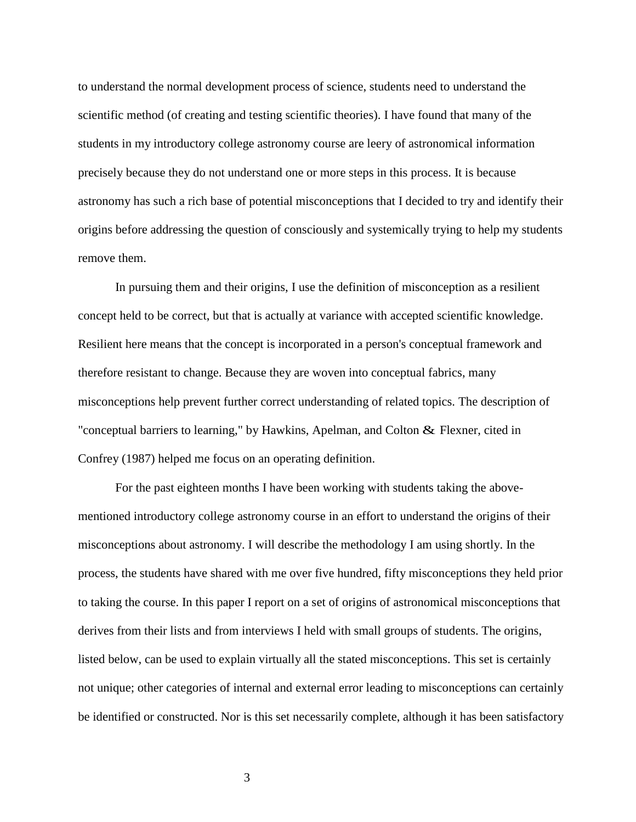to understand the normal development process of science, students need to understand the scientific method (of creating and testing scientific theories). I have found that many of the students in my introductory college astronomy course are leery of astronomical information precisely because they do not understand one or more steps in this process. It is because astronomy has such a rich base of potential misconceptions that I decided to try and identify their origins before addressing the question of consciously and systemically trying to help my students remove them.

In pursuing them and their origins, I use the definition of misconception as a resilient concept held to be correct, but that is actually at variance with accepted scientific knowledge. Resilient here means that the concept is incorporated in a person's conceptual framework and therefore resistant to change. Because they are woven into conceptual fabrics, many misconceptions help prevent further correct understanding of related topics. The description of "conceptual barriers to learning," by Hawkins, Apelman, and Colton & Flexner, cited in Confrey (1987) helped me focus on an operating definition.

For the past eighteen months I have been working with students taking the abovementioned introductory college astronomy course in an effort to understand the origins of their misconceptions about astronomy. I will describe the methodology I am using shortly. In the process, the students have shared with me over five hundred, fifty misconceptions they held prior to taking the course. In this paper I report on a set of origins of astronomical misconceptions that derives from their lists and from interviews I held with small groups of students. The origins, listed below, can be used to explain virtually all the stated misconceptions. This set is certainly not unique; other categories of internal and external error leading to misconceptions can certainly be identified or constructed. Nor is this set necessarily complete, although it has been satisfactory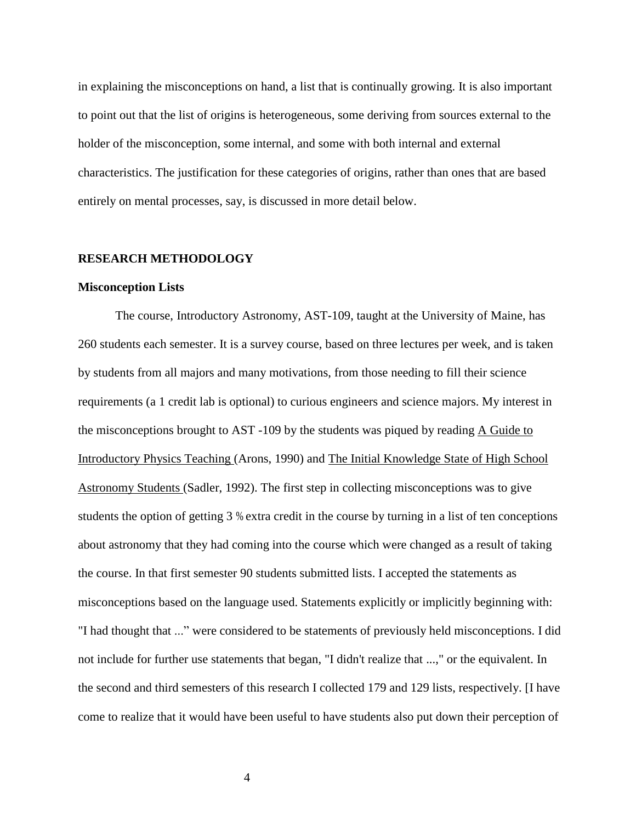in explaining the misconceptions on hand, a list that is continually growing. It is also important to point out that the list of origins is heterogeneous, some deriving from sources external to the holder of the misconception, some internal, and some with both internal and external characteristics. The justification for these categories of origins, rather than ones that are based entirely on mental processes, say, is discussed in more detail below.

#### **RESEARCH METHODOLOGY**

#### **Misconception Lists**

The course, Introductory Astronomy, AST-109, taught at the University of Maine, has 260 students each semester. It is a survey course, based on three lectures per week, and is taken by students from all majors and many motivations, from those needing to fill their science requirements (a 1 credit lab is optional) to curious engineers and science majors. My interest in the misconceptions brought to AST -109 by the students was piqued by reading A Guide to Introductory Physics Teaching (Arons, 1990) and The Initial Knowledge State of High School Astronomy Students (Sadler, 1992). The first step in collecting misconceptions was to give students the option of getting 3 % extra credit in the course by turning in a list of ten conceptions about astronomy that they had coming into the course which were changed as a result of taking the course. In that first semester 90 students submitted lists. I accepted the statements as misconceptions based on the language used. Statements explicitly or implicitly beginning with: "I had thought that ..." were considered to be statements of previously held misconceptions. I did not include for further use statements that began, "I didn't realize that ...," or the equivalent. In the second and third semesters of this research I collected 179 and 129 lists, respectively. [I have come to realize that it would have been useful to have students also put down their perception of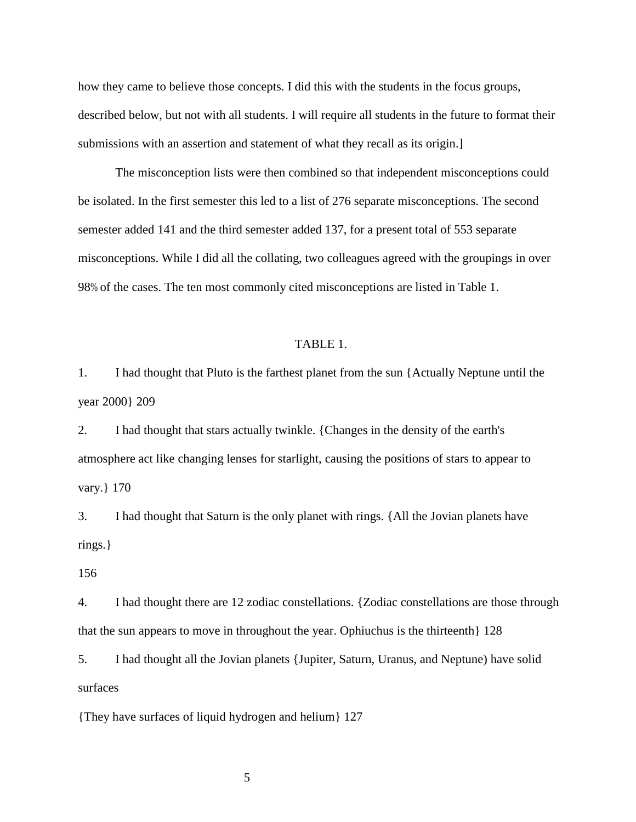how they came to believe those concepts. I did this with the students in the focus groups, described below, but not with all students. I will require all students in the future to format their submissions with an assertion and statement of what they recall as its origin.]

The misconception lists were then combined so that independent misconceptions could be isolated. In the first semester this led to a list of 276 separate misconceptions. The second semester added 141 and the third semester added 137, for a present total of 553 separate misconceptions. While I did all the collating, two colleagues agreed with the groupings in over 98% of the cases. The ten most commonly cited misconceptions are listed in Table 1.

#### TABLE 1.

1. I had thought that Pluto is the farthest planet from the sun {Actually Neptune until the year 2000} 209

2. I had thought that stars actually twinkle. {Changes in the density of the earth's atmosphere act like changing lenses for starlight, causing the positions of stars to appear to vary.} 170

3. I had thought that Saturn is the only planet with rings. {All the Jovian planets have rings.}

156

4. I had thought there are 12 zodiac constellations. {Zodiac constellations are those through that the sun appears to move in throughout the year. Ophiuchus is the thirteenth} 128

5. I had thought all the Jovian planets {Jupiter, Saturn, Uranus, and Neptune) have solid surfaces

{They have surfaces of liquid hydrogen and helium} 127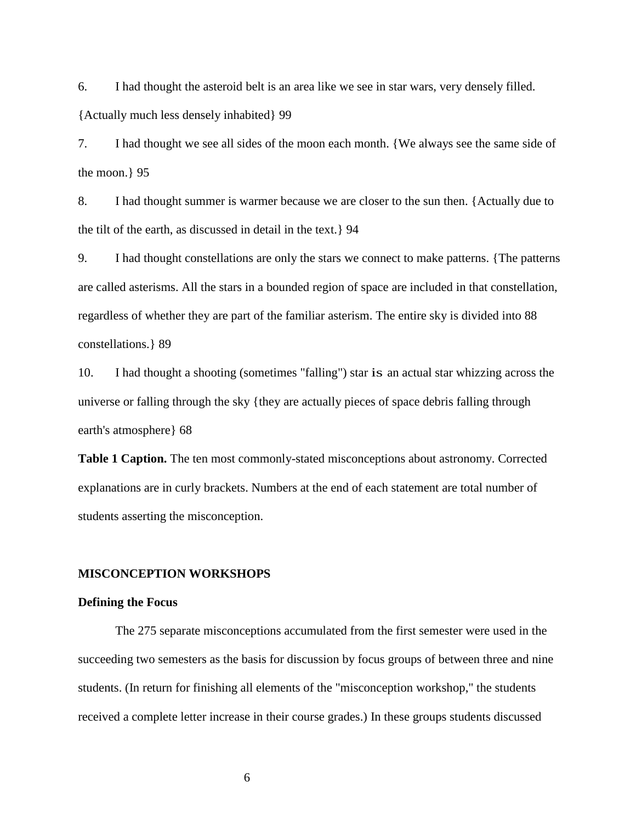6. I had thought the asteroid belt is an area like we see in star wars, very densely filled. {Actually much less densely inhabited} 99

7. I had thought we see all sides of the moon each month. {We always see the same side of the moon.} 95

8. I had thought summer is warmer because we are closer to the sun then. {Actually due to the tilt of the earth, as discussed in detail in the text.} 94

9. I had thought constellations are only the stars we connect to make patterns. {The patterns are called asterisms. All the stars in a bounded region of space are included in that constellation, regardless of whether they are part of the familiar asterism. The entire sky is divided into 88 constellations.} 89

10. I had thought a shooting (sometimes "falling") star is an actual star whizzing across the universe or falling through the sky {they are actually pieces of space debris falling through earth's atmosphere} 68

**Table 1 Caption.** The ten most commonly-stated misconceptions about astronomy. Corrected explanations are in curly brackets. Numbers at the end of each statement are total number of students asserting the misconception.

#### **MISCONCEPTION WORKSHOPS**

#### **Defining the Focus**

The 275 separate misconceptions accumulated from the first semester were used in the succeeding two semesters as the basis for discussion by focus groups of between three and nine students. (In return for finishing all elements of the "misconception workshop," the students received a complete letter increase in their course grades.) In these groups students discussed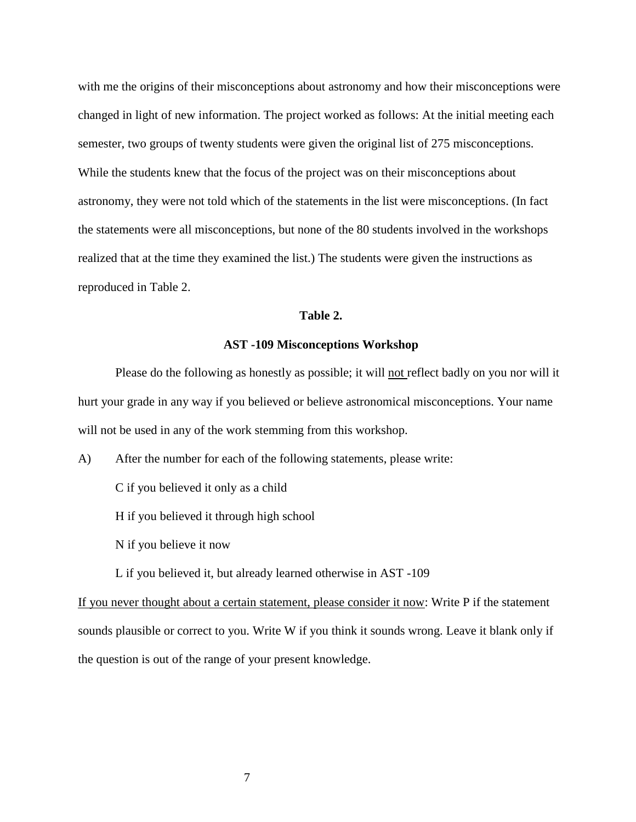with me the origins of their misconceptions about astronomy and how their misconceptions were changed in light of new information. The project worked as follows: At the initial meeting each semester, two groups of twenty students were given the original list of 275 misconceptions. While the students knew that the focus of the project was on their misconceptions about astronomy, they were not told which of the statements in the list were misconceptions. (In fact the statements were all misconceptions, but none of the 80 students involved in the workshops realized that at the time they examined the list.) The students were given the instructions as reproduced in Table 2.

#### **Table 2.**

#### **AST -109 Misconceptions Workshop**

Please do the following as honestly as possible; it will not reflect badly on you nor will it hurt your grade in any way if you believed or believe astronomical misconceptions. Your name will not be used in any of the work stemming from this workshop.

A) After the number for each of the following statements, please write:

C if you believed it only as a child

H if you believed it through high school

N if you believe it now

L if you believed it, but already learned otherwise in AST -109

If you never thought about a certain statement, please consider it now: Write P if the statement sounds plausible or correct to you. Write W if you think it sounds wrong. Leave it blank only if the question is out of the range of your present knowledge.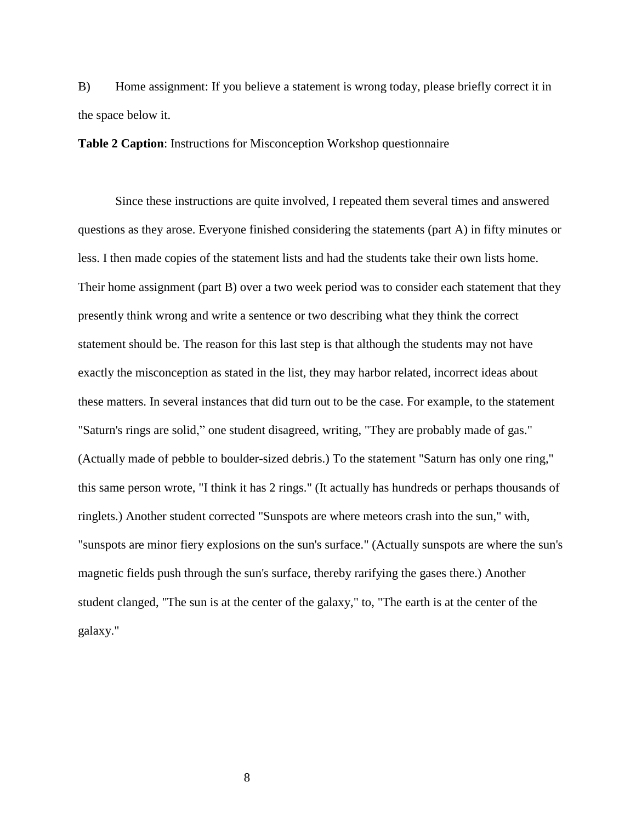B) Home assignment: If you believe a statement is wrong today, please briefly correct it in the space below it.

**Table 2 Caption**: Instructions for Misconception Workshop questionnaire

Since these instructions are quite involved, I repeated them several times and answered questions as they arose. Everyone finished considering the statements (part A) in fifty minutes or less. I then made copies of the statement lists and had the students take their own lists home. Their home assignment (part B) over a two week period was to consider each statement that they presently think wrong and write a sentence or two describing what they think the correct statement should be. The reason for this last step is that although the students may not have exactly the misconception as stated in the list, they may harbor related, incorrect ideas about these matters. In several instances that did turn out to be the case. For example, to the statement "Saturn's rings are solid," one student disagreed, writing, "They are probably made of gas." (Actually made of pebble to boulder-sized debris.) To the statement "Saturn has only one ring," this same person wrote, "I think it has 2 rings." (It actually has hundreds or perhaps thousands of ringlets.) Another student corrected "Sunspots are where meteors crash into the sun," with, "sunspots are minor fiery explosions on the sun's surface." (Actually sunspots are where the sun's magnetic fields push through the sun's surface, thereby rarifying the gases there.) Another student clanged, "The sun is at the center of the galaxy," to, "The earth is at the center of the galaxy."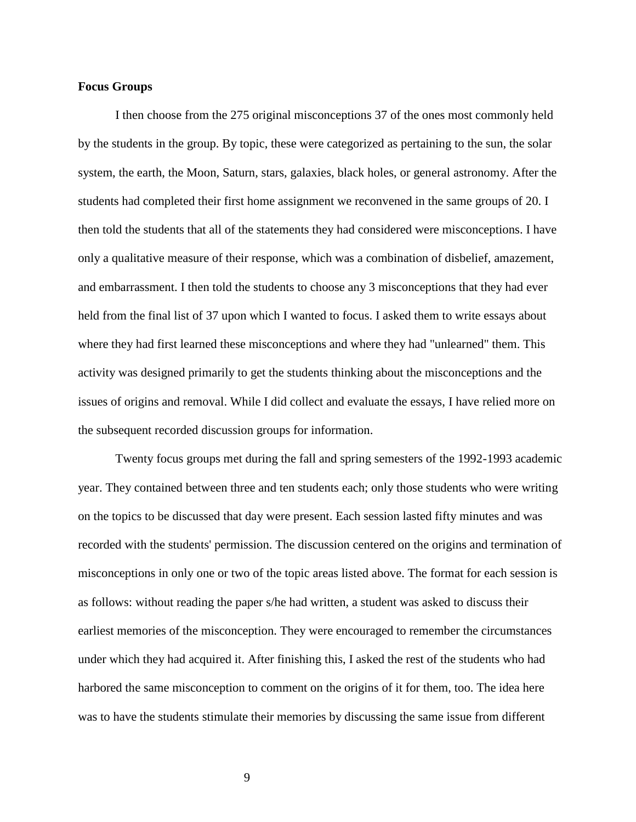#### **Focus Groups**

I then choose from the 275 original misconceptions 37 of the ones most commonly held by the students in the group. By topic, these were categorized as pertaining to the sun, the solar system, the earth, the Moon, Saturn, stars, galaxies, black holes, or general astronomy. After the students had completed their first home assignment we reconvened in the same groups of 20. I then told the students that all of the statements they had considered were misconceptions. I have only a qualitative measure of their response, which was a combination of disbelief, amazement, and embarrassment. I then told the students to choose any 3 misconceptions that they had ever held from the final list of 37 upon which I wanted to focus. I asked them to write essays about where they had first learned these misconceptions and where they had "unlearned" them. This activity was designed primarily to get the students thinking about the misconceptions and the issues of origins and removal. While I did collect and evaluate the essays, I have relied more on the subsequent recorded discussion groups for information.

Twenty focus groups met during the fall and spring semesters of the 1992-1993 academic year. They contained between three and ten students each; only those students who were writing on the topics to be discussed that day were present. Each session lasted fifty minutes and was recorded with the students' permission. The discussion centered on the origins and termination of misconceptions in only one or two of the topic areas listed above. The format for each session is as follows: without reading the paper s/he had written, a student was asked to discuss their earliest memories of the misconception. They were encouraged to remember the circumstances under which they had acquired it. After finishing this, I asked the rest of the students who had harbored the same misconception to comment on the origins of it for them, too. The idea here was to have the students stimulate their memories by discussing the same issue from different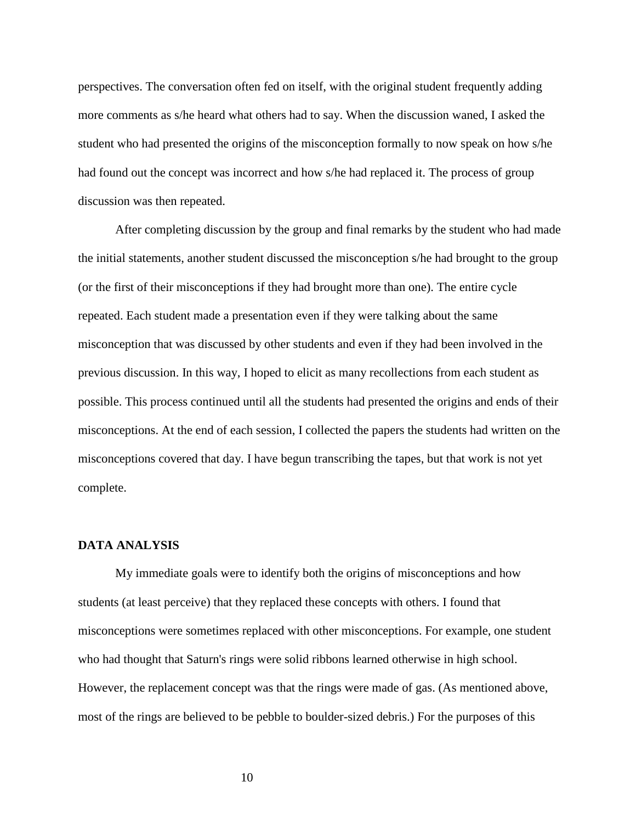perspectives. The conversation often fed on itself, with the original student frequently adding more comments as s/he heard what others had to say. When the discussion waned, I asked the student who had presented the origins of the misconception formally to now speak on how s/he had found out the concept was incorrect and how s/he had replaced it. The process of group discussion was then repeated.

After completing discussion by the group and final remarks by the student who had made the initial statements, another student discussed the misconception s/he had brought to the group (or the first of their misconceptions if they had brought more than one). The entire cycle repeated. Each student made a presentation even if they were talking about the same misconception that was discussed by other students and even if they had been involved in the previous discussion. In this way, I hoped to elicit as many recollections from each student as possible. This process continued until all the students had presented the origins and ends of their misconceptions. At the end of each session, I collected the papers the students had written on the misconceptions covered that day. I have begun transcribing the tapes, but that work is not yet complete.

#### **DATA ANALYSIS**

My immediate goals were to identify both the origins of misconceptions and how students (at least perceive) that they replaced these concepts with others. I found that misconceptions were sometimes replaced with other misconceptions. For example, one student who had thought that Saturn's rings were solid ribbons learned otherwise in high school. However, the replacement concept was that the rings were made of gas. (As mentioned above, most of the rings are believed to be pebble to boulder-sized debris.) For the purposes of this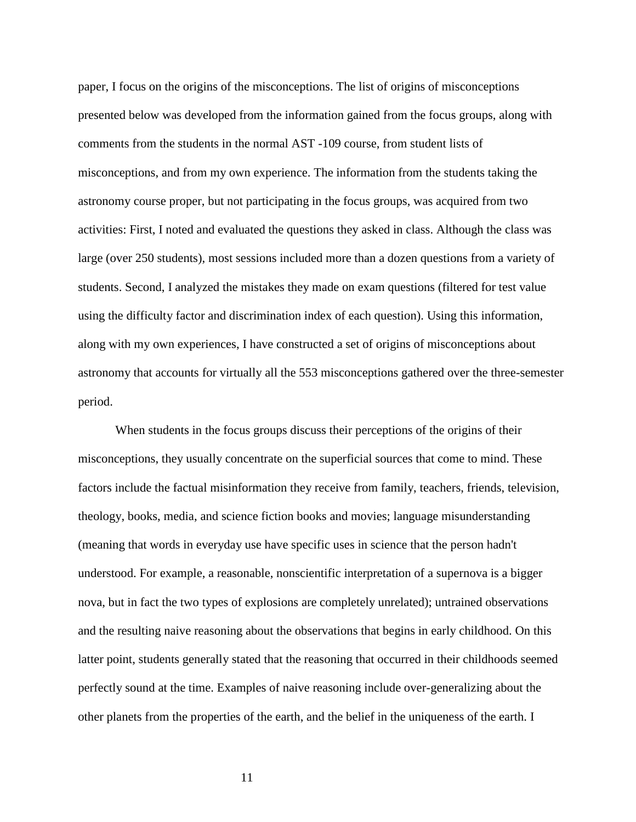paper, I focus on the origins of the misconceptions. The list of origins of misconceptions presented below was developed from the information gained from the focus groups, along with comments from the students in the normal AST -109 course, from student lists of misconceptions, and from my own experience. The information from the students taking the astronomy course proper, but not participating in the focus groups, was acquired from two activities: First, I noted and evaluated the questions they asked in class. Although the class was large (over 250 students), most sessions included more than a dozen questions from a variety of students. Second, I analyzed the mistakes they made on exam questions (filtered for test value using the difficulty factor and discrimination index of each question). Using this information, along with my own experiences, I have constructed a set of origins of misconceptions about astronomy that accounts for virtually all the 553 misconceptions gathered over the three-semester period.

When students in the focus groups discuss their perceptions of the origins of their misconceptions, they usually concentrate on the superficial sources that come to mind. These factors include the factual misinformation they receive from family, teachers, friends, television, theology, books, media, and science fiction books and movies; language misunderstanding (meaning that words in everyday use have specific uses in science that the person hadn't understood. For example, a reasonable, nonscientific interpretation of a supernova is a bigger nova, but in fact the two types of explosions are completely unrelated); untrained observations and the resulting naive reasoning about the observations that begins in early childhood. On this latter point, students generally stated that the reasoning that occurred in their childhoods seemed perfectly sound at the time. Examples of naive reasoning include over-generalizing about the other planets from the properties of the earth, and the belief in the uniqueness of the earth. I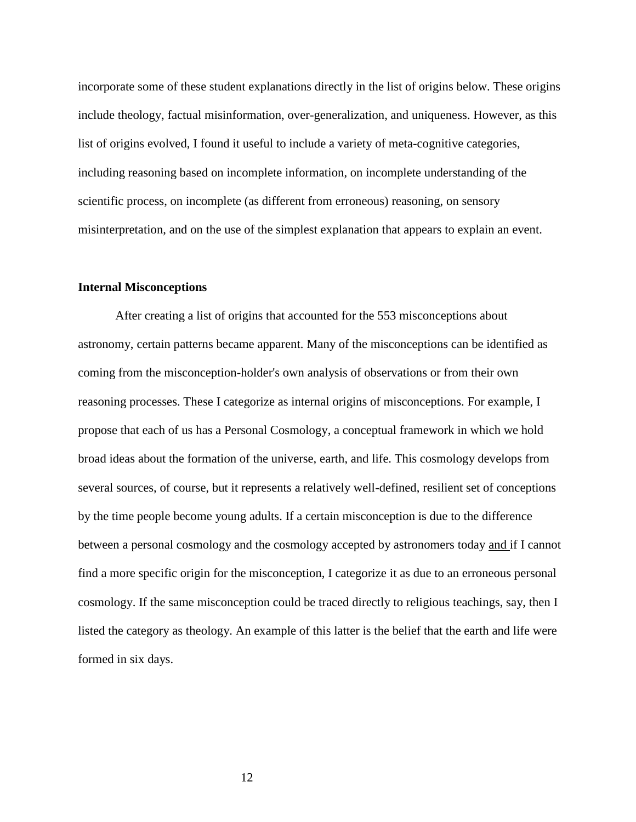incorporate some of these student explanations directly in the list of origins below. These origins include theology, factual misinformation, over-generalization, and uniqueness. However, as this list of origins evolved, I found it useful to include a variety of meta-cognitive categories, including reasoning based on incomplete information, on incomplete understanding of the scientific process, on incomplete (as different from erroneous) reasoning, on sensory misinterpretation, and on the use of the simplest explanation that appears to explain an event.

## **Internal Misconceptions**

After creating a list of origins that accounted for the 553 misconceptions about astronomy, certain patterns became apparent. Many of the misconceptions can be identified as coming from the misconception-holder's own analysis of observations or from their own reasoning processes. These I categorize as internal origins of misconceptions. For example, I propose that each of us has a Personal Cosmology, a conceptual framework in which we hold broad ideas about the formation of the universe, earth, and life. This cosmology develops from several sources, of course, but it represents a relatively well-defined, resilient set of conceptions by the time people become young adults. If a certain misconception is due to the difference between a personal cosmology and the cosmology accepted by astronomers today and if I cannot find a more specific origin for the misconception, I categorize it as due to an erroneous personal cosmology. If the same misconception could be traced directly to religious teachings, say, then I listed the category as theology. An example of this latter is the belief that the earth and life were formed in six days.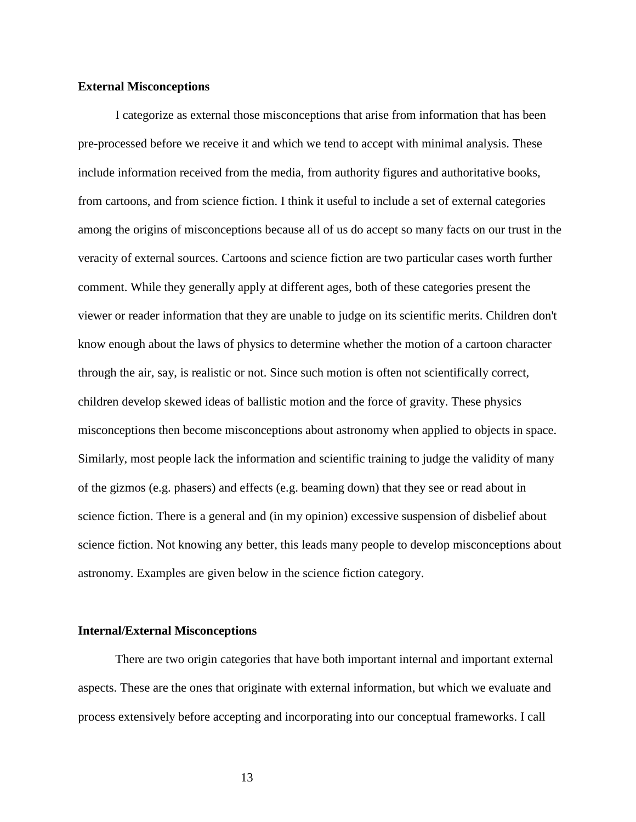#### **External Misconceptions**

I categorize as external those misconceptions that arise from information that has been pre-processed before we receive it and which we tend to accept with minimal analysis. These include information received from the media, from authority figures and authoritative books, from cartoons, and from science fiction. I think it useful to include a set of external categories among the origins of misconceptions because all of us do accept so many facts on our trust in the veracity of external sources. Cartoons and science fiction are two particular cases worth further comment. While they generally apply at different ages, both of these categories present the viewer or reader information that they are unable to judge on its scientific merits. Children don't know enough about the laws of physics to determine whether the motion of a cartoon character through the air, say, is realistic or not. Since such motion is often not scientifically correct, children develop skewed ideas of ballistic motion and the force of gravity. These physics misconceptions then become misconceptions about astronomy when applied to objects in space. Similarly, most people lack the information and scientific training to judge the validity of many of the gizmos (e.g. phasers) and effects (e.g. beaming down) that they see or read about in science fiction. There is a general and (in my opinion) excessive suspension of disbelief about science fiction. Not knowing any better, this leads many people to develop misconceptions about astronomy. Examples are given below in the science fiction category.

# **Internal/External Misconceptions**

There are two origin categories that have both important internal and important external aspects. These are the ones that originate with external information, but which we evaluate and process extensively before accepting and incorporating into our conceptual frameworks. I call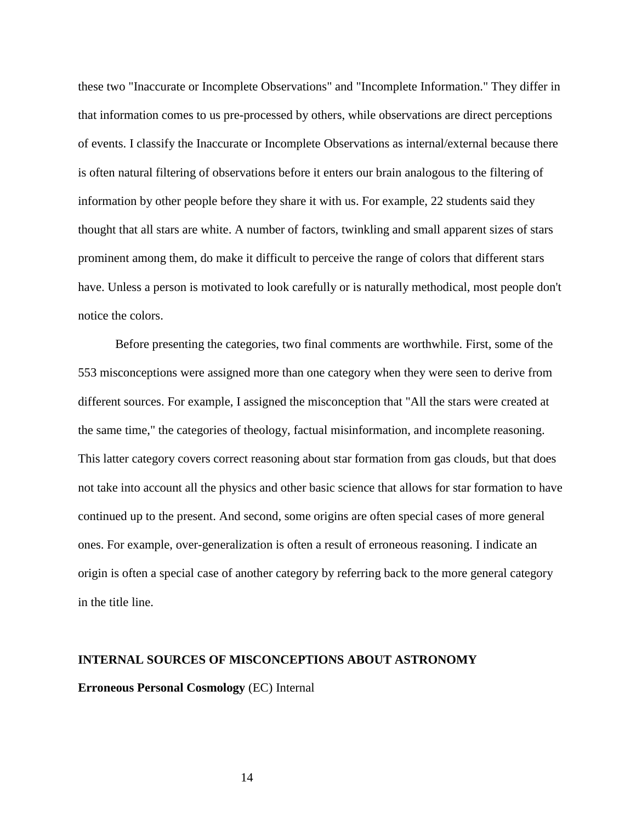these two "Inaccurate or Incomplete Observations" and "Incomplete Information." They differ in that information comes to us pre-processed by others, while observations are direct perceptions of events. I classify the Inaccurate or Incomplete Observations as internal/external because there is often natural filtering of observations before it enters our brain analogous to the filtering of information by other people before they share it with us. For example, 22 students said they thought that all stars are white. A number of factors, twinkling and small apparent sizes of stars prominent among them, do make it difficult to perceive the range of colors that different stars have. Unless a person is motivated to look carefully or is naturally methodical, most people don't notice the colors.

Before presenting the categories, two final comments are worthwhile. First, some of the 553 misconceptions were assigned more than one category when they were seen to derive from different sources. For example, I assigned the misconception that "All the stars were created at the same time," the categories of theology, factual misinformation, and incomplete reasoning. This latter category covers correct reasoning about star formation from gas clouds, but that does not take into account all the physics and other basic science that allows for star formation to have continued up to the present. And second, some origins are often special cases of more general ones. For example, over-generalization is often a result of erroneous reasoning. I indicate an origin is often a special case of another category by referring back to the more general category in the title line.

# **INTERNAL SOURCES OF MISCONCEPTIONS ABOUT ASTRONOMY**

# **Erroneous Personal Cosmology** (EC) Internal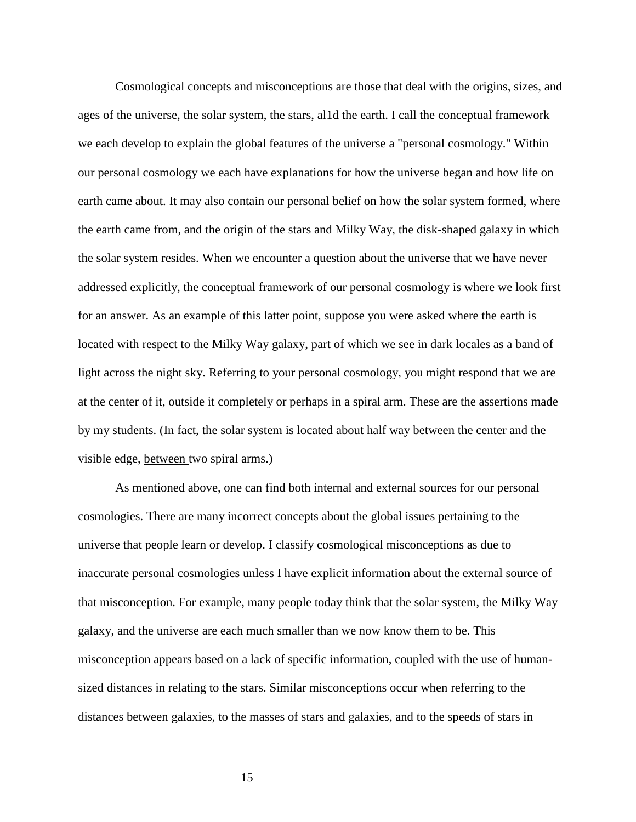Cosmological concepts and misconceptions are those that deal with the origins, sizes, and ages of the universe, the solar system, the stars, al1d the earth. I call the conceptual framework we each develop to explain the global features of the universe a "personal cosmology." Within our personal cosmology we each have explanations for how the universe began and how life on earth came about. It may also contain our personal belief on how the solar system formed, where the earth came from, and the origin of the stars and Milky Way, the disk-shaped galaxy in which the solar system resides. When we encounter a question about the universe that we have never addressed explicitly, the conceptual framework of our personal cosmology is where we look first for an answer. As an example of this latter point, suppose you were asked where the earth is located with respect to the Milky Way galaxy, part of which we see in dark locales as a band of light across the night sky. Referring to your personal cosmology, you might respond that we are at the center of it, outside it completely or perhaps in a spiral arm. These are the assertions made by my students. (In fact, the solar system is located about half way between the center and the visible edge, between two spiral arms.)

As mentioned above, one can find both internal and external sources for our personal cosmologies. There are many incorrect concepts about the global issues pertaining to the universe that people learn or develop. I classify cosmological misconceptions as due to inaccurate personal cosmologies unless I have explicit information about the external source of that misconception. For example, many people today think that the solar system, the Milky Way galaxy, and the universe are each much smaller than we now know them to be. This misconception appears based on a lack of specific information, coupled with the use of humansized distances in relating to the stars. Similar misconceptions occur when referring to the distances between galaxies, to the masses of stars and galaxies, and to the speeds of stars in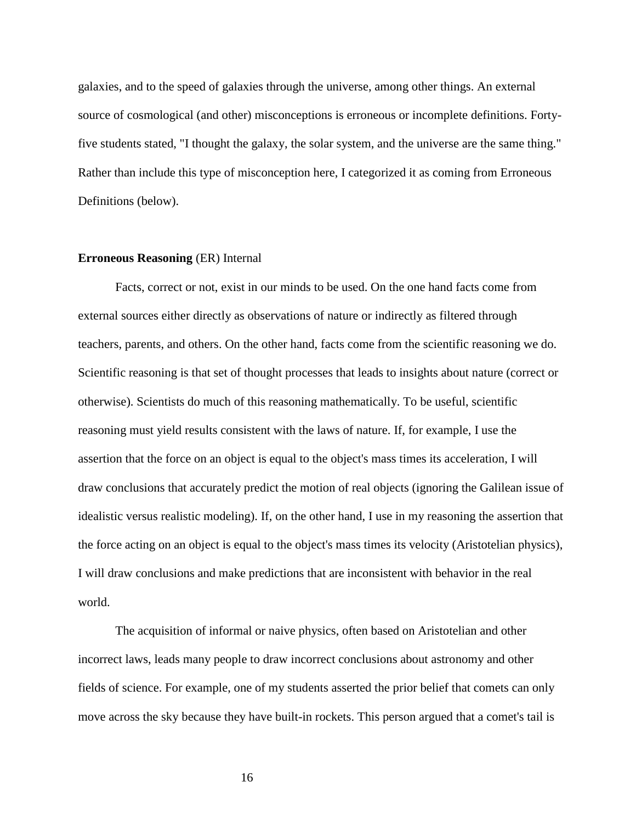galaxies, and to the speed of galaxies through the universe, among other things. An external source of cosmological (and other) misconceptions is erroneous or incomplete definitions. Fortyfive students stated, "I thought the galaxy, the solar system, and the universe are the same thing." Rather than include this type of misconception here, I categorized it as coming from Erroneous Definitions (below).

#### **Erroneous Reasoning** (ER) Internal

Facts, correct or not, exist in our minds to be used. On the one hand facts come from external sources either directly as observations of nature or indirectly as filtered through teachers, parents, and others. On the other hand, facts come from the scientific reasoning we do. Scientific reasoning is that set of thought processes that leads to insights about nature (correct or otherwise). Scientists do much of this reasoning mathematically. To be useful, scientific reasoning must yield results consistent with the laws of nature. If, for example, I use the assertion that the force on an object is equal to the object's mass times its acceleration, I will draw conclusions that accurately predict the motion of real objects (ignoring the Galilean issue of idealistic versus realistic modeling). If, on the other hand, I use in my reasoning the assertion that the force acting on an object is equal to the object's mass times its velocity (Aristotelian physics), I will draw conclusions and make predictions that are inconsistent with behavior in the real world.

The acquisition of informal or naive physics, often based on Aristotelian and other incorrect laws, leads many people to draw incorrect conclusions about astronomy and other fields of science. For example, one of my students asserted the prior belief that comets can only move across the sky because they have built-in rockets. This person argued that a comet's tail is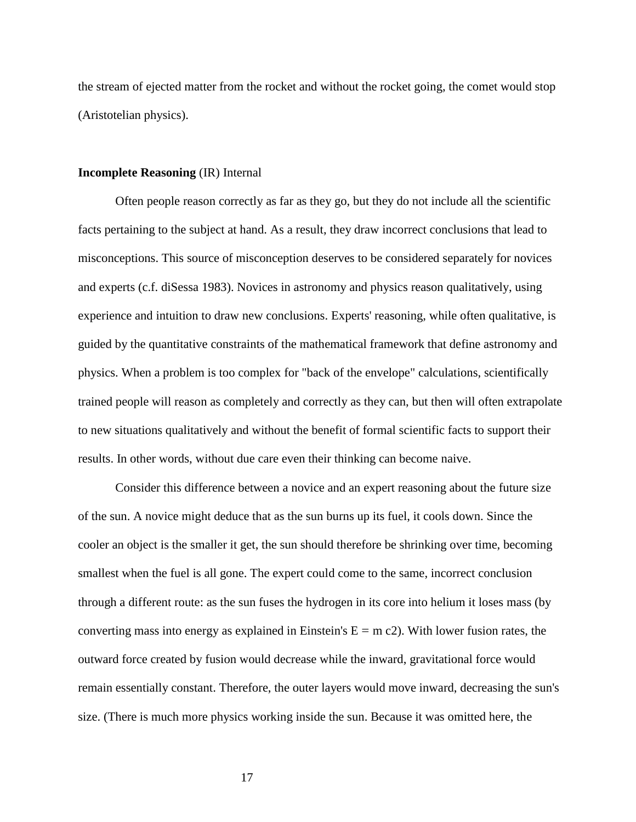the stream of ejected matter from the rocket and without the rocket going, the comet would stop (Aristotelian physics).

# **Incomplete Reasoning** (IR) Internal

Often people reason correctly as far as they go, but they do not include all the scientific facts pertaining to the subject at hand. As a result, they draw incorrect conclusions that lead to misconceptions. This source of misconception deserves to be considered separately for novices and experts (c.f. diSessa 1983). Novices in astronomy and physics reason qualitatively, using experience and intuition to draw new conclusions. Experts' reasoning, while often qualitative, is guided by the quantitative constraints of the mathematical framework that define astronomy and physics. When a problem is too complex for "back of the envelope" calculations, scientifically trained people will reason as completely and correctly as they can, but then will often extrapolate to new situations qualitatively and without the benefit of formal scientific facts to support their results. In other words, without due care even their thinking can become naive.

Consider this difference between a novice and an expert reasoning about the future size of the sun. A novice might deduce that as the sun burns up its fuel, it cools down. Since the cooler an object is the smaller it get, the sun should therefore be shrinking over time, becoming smallest when the fuel is all gone. The expert could come to the same, incorrect conclusion through a different route: as the sun fuses the hydrogen in its core into helium it loses mass (by converting mass into energy as explained in Einstein's  $E = m c2$ ). With lower fusion rates, the outward force created by fusion would decrease while the inward, gravitational force would remain essentially constant. Therefore, the outer layers would move inward, decreasing the sun's size. (There is much more physics working inside the sun. Because it was omitted here, the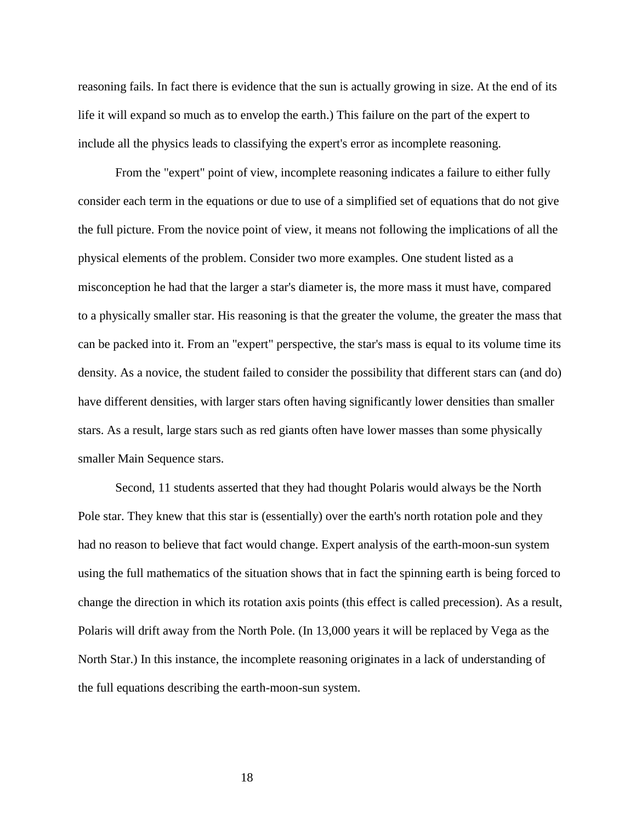reasoning fails. In fact there is evidence that the sun is actually growing in size. At the end of its life it will expand so much as to envelop the earth.) This failure on the part of the expert to include all the physics leads to classifying the expert's error as incomplete reasoning.

From the "expert" point of view, incomplete reasoning indicates a failure to either fully consider each term in the equations or due to use of a simplified set of equations that do not give the full picture. From the novice point of view, it means not following the implications of all the physical elements of the problem. Consider two more examples. One student listed as a misconception he had that the larger a star's diameter is, the more mass it must have, compared to a physically smaller star. His reasoning is that the greater the volume, the greater the mass that can be packed into it. From an "expert" perspective, the star's mass is equal to its volume time its density. As a novice, the student failed to consider the possibility that different stars can (and do) have different densities, with larger stars often having significantly lower densities than smaller stars. As a result, large stars such as red giants often have lower masses than some physically smaller Main Sequence stars.

Second, 11 students asserted that they had thought Polaris would always be the North Pole star. They knew that this star is (essentially) over the earth's north rotation pole and they had no reason to believe that fact would change. Expert analysis of the earth-moon-sun system using the full mathematics of the situation shows that in fact the spinning earth is being forced to change the direction in which its rotation axis points (this effect is called precession). As a result, Polaris will drift away from the North Pole. (In 13,000 years it will be replaced by Vega as the North Star.) In this instance, the incomplete reasoning originates in a lack of understanding of the full equations describing the earth-moon-sun system.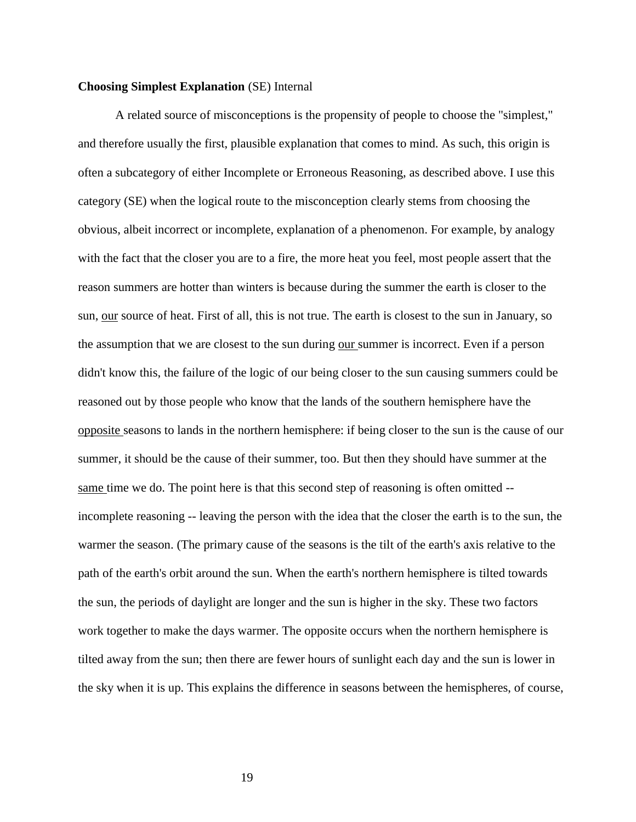#### **Choosing Simplest Explanation** (SE) Internal

A related source of misconceptions is the propensity of people to choose the "simplest," and therefore usually the first, plausible explanation that comes to mind. As such, this origin is often a subcategory of either Incomplete or Erroneous Reasoning, as described above. I use this category (SE) when the logical route to the misconception clearly stems from choosing the obvious, albeit incorrect or incomplete, explanation of a phenomenon. For example, by analogy with the fact that the closer you are to a fire, the more heat you feel, most people assert that the reason summers are hotter than winters is because during the summer the earth is closer to the sun, our source of heat. First of all, this is not true. The earth is closest to the sun in January, so the assumption that we are closest to the sun during our summer is incorrect. Even if a person didn't know this, the failure of the logic of our being closer to the sun causing summers could be reasoned out by those people who know that the lands of the southern hemisphere have the opposite seasons to lands in the northern hemisphere: if being closer to the sun is the cause of our summer, it should be the cause of their summer, too. But then they should have summer at the same time we do. The point here is that this second step of reasoning is often omitted - incomplete reasoning -- leaving the person with the idea that the closer the earth is to the sun, the warmer the season. (The primary cause of the seasons is the tilt of the earth's axis relative to the path of the earth's orbit around the sun. When the earth's northern hemisphere is tilted towards the sun, the periods of daylight are longer and the sun is higher in the sky. These two factors work together to make the days warmer. The opposite occurs when the northern hemisphere is tilted away from the sun; then there are fewer hours of sunlight each day and the sun is lower in the sky when it is up. This explains the difference in seasons between the hemispheres, of course,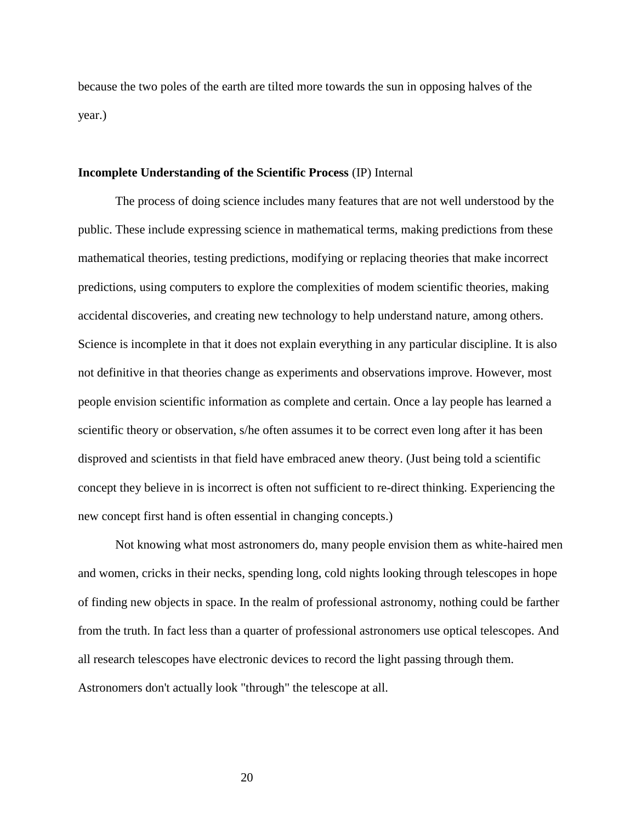because the two poles of the earth are tilted more towards the sun in opposing halves of the year.)

#### **Incomplete Understanding of the Scientific Process** (IP) Internal

The process of doing science includes many features that are not well understood by the public. These include expressing science in mathematical terms, making predictions from these mathematical theories, testing predictions, modifying or replacing theories that make incorrect predictions, using computers to explore the complexities of modem scientific theories, making accidental discoveries, and creating new technology to help understand nature, among others. Science is incomplete in that it does not explain everything in any particular discipline. It is also not definitive in that theories change as experiments and observations improve. However, most people envision scientific information as complete and certain. Once a lay people has learned a scientific theory or observation, s/he often assumes it to be correct even long after it has been disproved and scientists in that field have embraced anew theory. (Just being told a scientific concept they believe in is incorrect is often not sufficient to re-direct thinking. Experiencing the new concept first hand is often essential in changing concepts.)

Not knowing what most astronomers do, many people envision them as white-haired men and women, cricks in their necks, spending long, cold nights looking through telescopes in hope of finding new objects in space. In the realm of professional astronomy, nothing could be farther from the truth. In fact less than a quarter of professional astronomers use optical telescopes. And all research telescopes have electronic devices to record the light passing through them. Astronomers don't actually look "through" the telescope at all.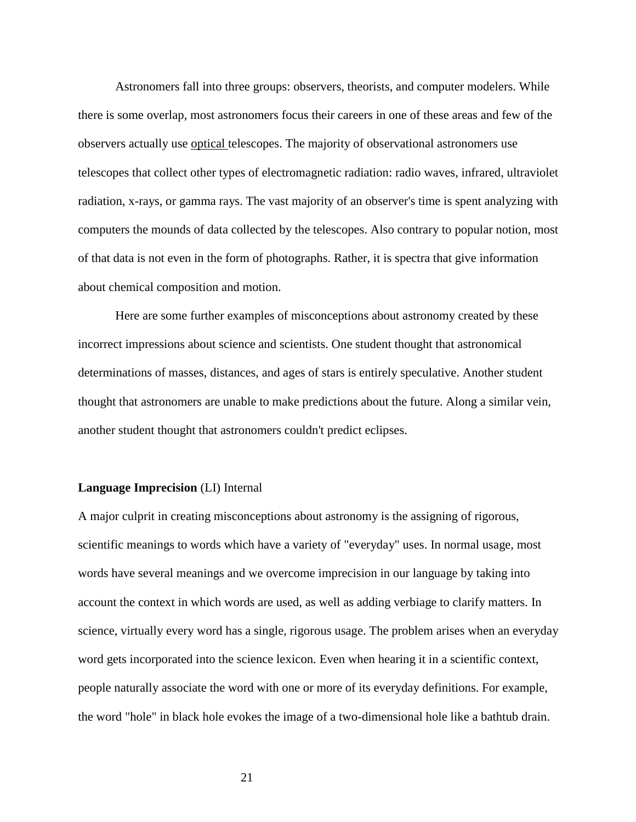Astronomers fall into three groups: observers, theorists, and computer modelers. While there is some overlap, most astronomers focus their careers in one of these areas and few of the observers actually use optical telescopes. The majority of observational astronomers use telescopes that collect other types of electromagnetic radiation: radio waves, infrared, ultraviolet radiation, x-rays, or gamma rays. The vast majority of an observer's time is spent analyzing with computers the mounds of data collected by the telescopes. Also contrary to popular notion, most of that data is not even in the form of photographs. Rather, it is spectra that give information about chemical composition and motion.

Here are some further examples of misconceptions about astronomy created by these incorrect impressions about science and scientists. One student thought that astronomical determinations of masses, distances, and ages of stars is entirely speculative. Another student thought that astronomers are unable to make predictions about the future. Along a similar vein, another student thought that astronomers couldn't predict eclipses.

#### **Language Imprecision** (LI) Internal

A major culprit in creating misconceptions about astronomy is the assigning of rigorous, scientific meanings to words which have a variety of "everyday" uses. In normal usage, most words have several meanings and we overcome imprecision in our language by taking into account the context in which words are used, as well as adding verbiage to clarify matters. In science, virtually every word has a single, rigorous usage. The problem arises when an everyday word gets incorporated into the science lexicon. Even when hearing it in a scientific context, people naturally associate the word with one or more of its everyday definitions. For example, the word "hole" in black hole evokes the image of a two-dimensional hole like a bathtub drain.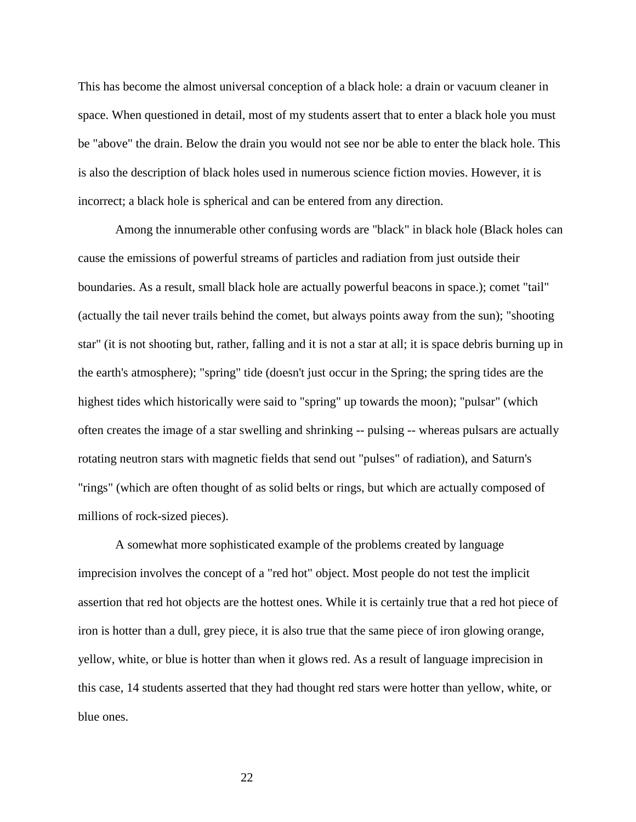This has become the almost universal conception of a black hole: a drain or vacuum cleaner in space. When questioned in detail, most of my students assert that to enter a black hole you must be "above" the drain. Below the drain you would not see nor be able to enter the black hole. This is also the description of black holes used in numerous science fiction movies. However, it is incorrect; a black hole is spherical and can be entered from any direction.

Among the innumerable other confusing words are "black" in black hole (Black holes can cause the emissions of powerful streams of particles and radiation from just outside their boundaries. As a result, small black hole are actually powerful beacons in space.); comet "tail" (actually the tail never trails behind the comet, but always points away from the sun); "shooting star" (it is not shooting but, rather, falling and it is not a star at all; it is space debris burning up in the earth's atmosphere); "spring" tide (doesn't just occur in the Spring; the spring tides are the highest tides which historically were said to "spring" up towards the moon); "pulsar" (which often creates the image of a star swelling and shrinking -- pulsing -- whereas pulsars are actually rotating neutron stars with magnetic fields that send out "pulses" of radiation), and Saturn's "rings" (which are often thought of as solid belts or rings, but which are actually composed of millions of rock-sized pieces).

A somewhat more sophisticated example of the problems created by language imprecision involves the concept of a "red hot" object. Most people do not test the implicit assertion that red hot objects are the hottest ones. While it is certainly true that a red hot piece of iron is hotter than a dull, grey piece, it is also true that the same piece of iron glowing orange, yellow, white, or blue is hotter than when it glows red. As a result of language imprecision in this case, 14 students asserted that they had thought red stars were hotter than yellow, white, or blue ones.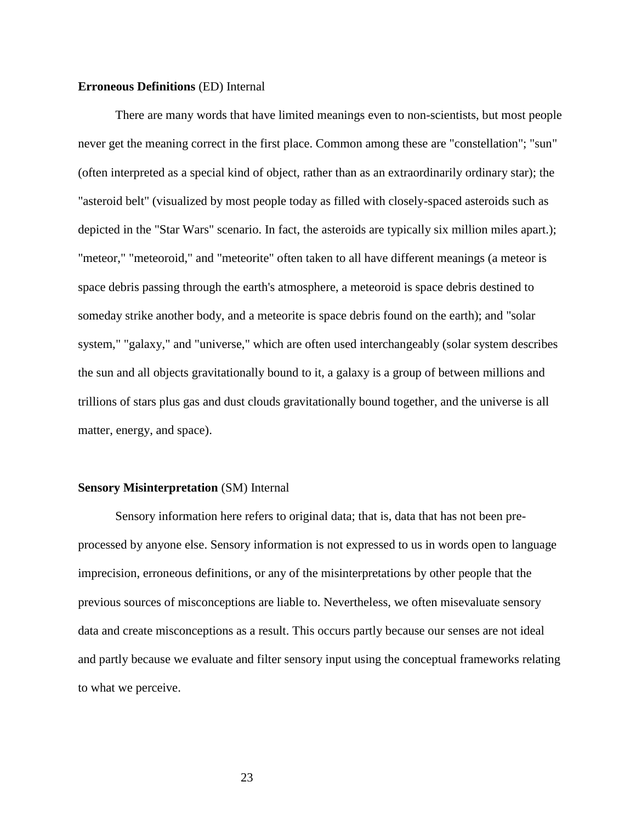#### **Erroneous Definitions** (ED) Internal

There are many words that have limited meanings even to non-scientists, but most people never get the meaning correct in the first place. Common among these are "constellation"; "sun" (often interpreted as a special kind of object, rather than as an extraordinarily ordinary star); the "asteroid belt" (visualized by most people today as filled with closely-spaced asteroids such as depicted in the "Star Wars" scenario. In fact, the asteroids are typically six million miles apart.); "meteor," "meteoroid," and "meteorite" often taken to all have different meanings (a meteor is space debris passing through the earth's atmosphere, a meteoroid is space debris destined to someday strike another body, and a meteorite is space debris found on the earth); and "solar system," "galaxy," and "universe," which are often used interchangeably (solar system describes the sun and all objects gravitationally bound to it, a galaxy is a group of between millions and trillions of stars plus gas and dust clouds gravitationally bound together, and the universe is all matter, energy, and space).

#### **Sensory Misinterpretation** (SM) Internal

Sensory information here refers to original data; that is, data that has not been preprocessed by anyone else. Sensory information is not expressed to us in words open to language imprecision, erroneous definitions, or any of the misinterpretations by other people that the previous sources of misconceptions are liable to. Nevertheless, we often misevaluate sensory data and create misconceptions as a result. This occurs partly because our senses are not ideal and partly because we evaluate and filter sensory input using the conceptual frameworks relating to what we perceive.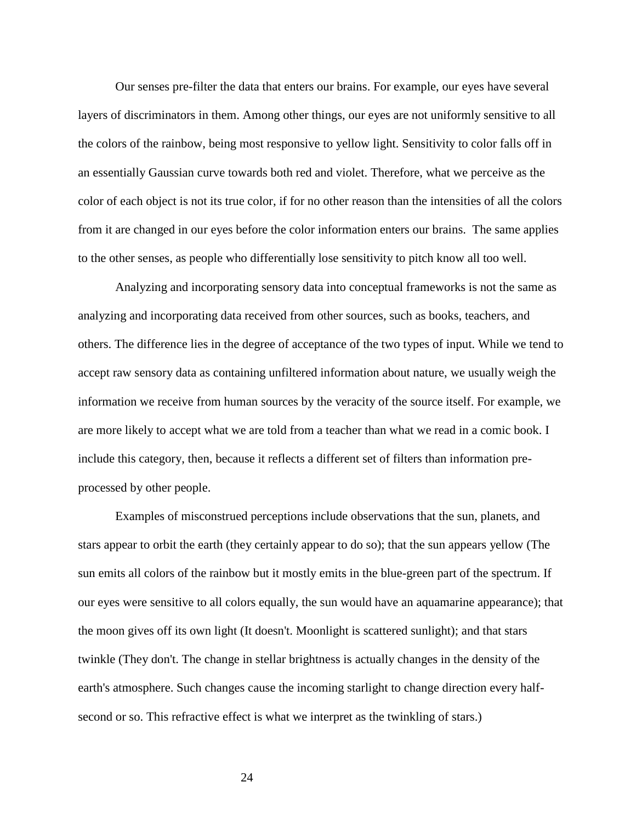Our senses pre-filter the data that enters our brains. For example, our eyes have several layers of discriminators in them. Among other things, our eyes are not uniformly sensitive to all the colors of the rainbow, being most responsive to yellow light. Sensitivity to color falls off in an essentially Gaussian curve towards both red and violet. Therefore, what we perceive as the color of each object is not its true color, if for no other reason than the intensities of all the colors from it are changed in our eyes before the color information enters our brains. The same applies to the other senses, as people who differentially lose sensitivity to pitch know all too well.

Analyzing and incorporating sensory data into conceptual frameworks is not the same as analyzing and incorporating data received from other sources, such as books, teachers, and others. The difference lies in the degree of acceptance of the two types of input. While we tend to accept raw sensory data as containing unfiltered information about nature, we usually weigh the information we receive from human sources by the veracity of the source itself. For example, we are more likely to accept what we are told from a teacher than what we read in a comic book. I include this category, then, because it reflects a different set of filters than information preprocessed by other people.

Examples of misconstrued perceptions include observations that the sun, planets, and stars appear to orbit the earth (they certainly appear to do so); that the sun appears yellow (The sun emits all colors of the rainbow but it mostly emits in the blue-green part of the spectrum. If our eyes were sensitive to all colors equally, the sun would have an aquamarine appearance); that the moon gives off its own light (It doesn't. Moonlight is scattered sunlight); and that stars twinkle (They don't. The change in stellar brightness is actually changes in the density of the earth's atmosphere. Such changes cause the incoming starlight to change direction every halfsecond or so. This refractive effect is what we interpret as the twinkling of stars.)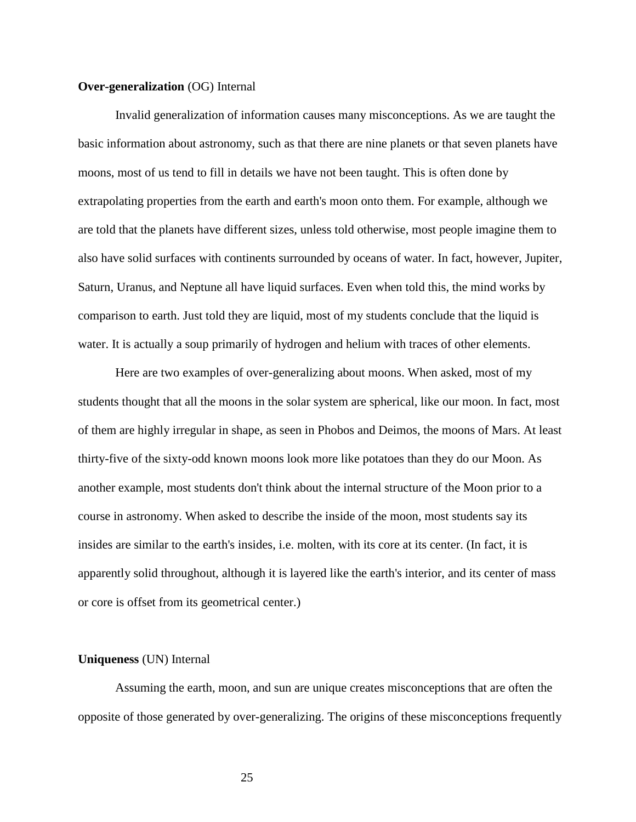#### **Over-generalization** (OG) Internal

Invalid generalization of information causes many misconceptions. As we are taught the basic information about astronomy, such as that there are nine planets or that seven planets have moons, most of us tend to fill in details we have not been taught. This is often done by extrapolating properties from the earth and earth's moon onto them. For example, although we are told that the planets have different sizes, unless told otherwise, most people imagine them to also have solid surfaces with continents surrounded by oceans of water. In fact, however, Jupiter, Saturn, Uranus, and Neptune all have liquid surfaces. Even when told this, the mind works by comparison to earth. Just told they are liquid, most of my students conclude that the liquid is water. It is actually a soup primarily of hydrogen and helium with traces of other elements.

Here are two examples of over-generalizing about moons. When asked, most of my students thought that all the moons in the solar system are spherical, like our moon. In fact, most of them are highly irregular in shape, as seen in Phobos and Deimos, the moons of Mars. At least thirty-five of the sixty-odd known moons look more like potatoes than they do our Moon. As another example, most students don't think about the internal structure of the Moon prior to a course in astronomy. When asked to describe the inside of the moon, most students say its insides are similar to the earth's insides, i.e. molten, with its core at its center. (In fact, it is apparently solid throughout, although it is layered like the earth's interior, and its center of mass or core is offset from its geometrical center.)

#### **Uniqueness** (UN) Internal

Assuming the earth, moon, and sun are unique creates misconceptions that are often the opposite of those generated by over-generalizing. The origins of these misconceptions frequently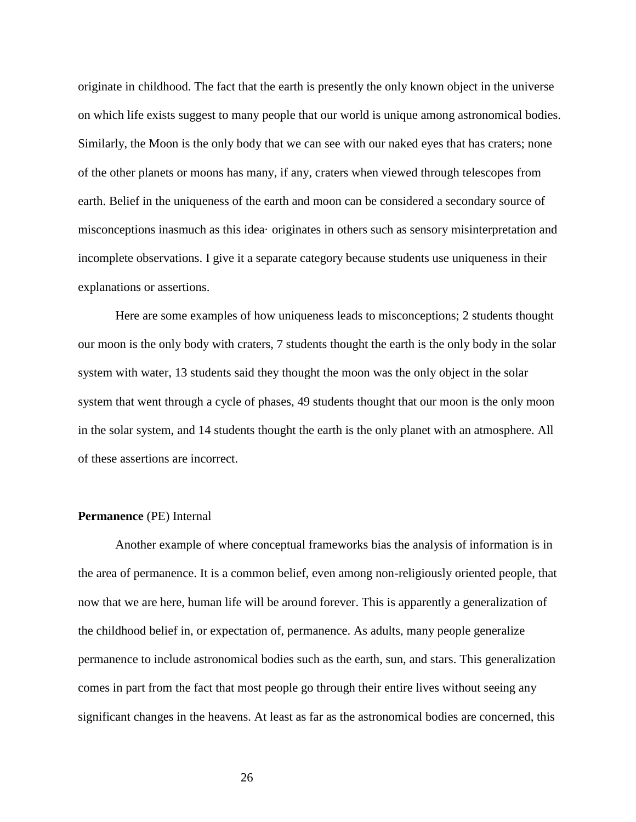originate in childhood. The fact that the earth is presently the only known object in the universe on which life exists suggest to many people that our world is unique among astronomical bodies. Similarly, the Moon is the only body that we can see with our naked eyes that has craters; none of the other planets or moons has many, if any, craters when viewed through telescopes from earth. Belief in the uniqueness of the earth and moon can be considered a secondary source of misconceptions inasmuch as this idea· originates in others such as sensory misinterpretation and incomplete observations. I give it a separate category because students use uniqueness in their explanations or assertions.

Here are some examples of how uniqueness leads to misconceptions; 2 students thought our moon is the only body with craters, 7 students thought the earth is the only body in the solar system with water, 13 students said they thought the moon was the only object in the solar system that went through a cycle of phases, 49 students thought that our moon is the only moon in the solar system, and 14 students thought the earth is the only planet with an atmosphere. All of these assertions are incorrect.

#### **Permanence** (PE) Internal

Another example of where conceptual frameworks bias the analysis of information is in the area of permanence. It is a common belief, even among non-religiously oriented people, that now that we are here, human life will be around forever. This is apparently a generalization of the childhood belief in, or expectation of, permanence. As adults, many people generalize permanence to include astronomical bodies such as the earth, sun, and stars. This generalization comes in part from the fact that most people go through their entire lives without seeing any significant changes in the heavens. At least as far as the astronomical bodies are concerned, this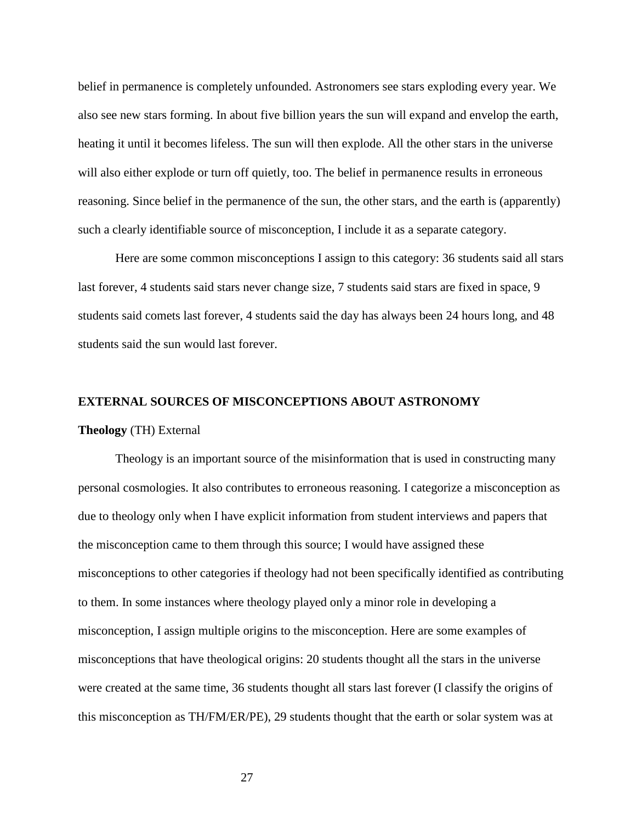belief in permanence is completely unfounded. Astronomers see stars exploding every year. We also see new stars forming. In about five billion years the sun will expand and envelop the earth, heating it until it becomes lifeless. The sun will then explode. All the other stars in the universe will also either explode or turn off quietly, too. The belief in permanence results in erroneous reasoning. Since belief in the permanence of the sun, the other stars, and the earth is (apparently) such a clearly identifiable source of misconception, I include it as a separate category.

Here are some common misconceptions I assign to this category: 36 students said all stars last forever, 4 students said stars never change size, 7 students said stars are fixed in space, 9 students said comets last forever, 4 students said the day has always been 24 hours long, and 48 students said the sun would last forever.

#### **EXTERNAL SOURCES OF MISCONCEPTIONS ABOUT ASTRONOMY**

#### **Theology** (TH) External

Theology is an important source of the misinformation that is used in constructing many personal cosmologies. It also contributes to erroneous reasoning. I categorize a misconception as due to theology only when I have explicit information from student interviews and papers that the misconception came to them through this source; I would have assigned these misconceptions to other categories if theology had not been specifically identified as contributing to them. In some instances where theology played only a minor role in developing a misconception, I assign multiple origins to the misconception. Here are some examples of misconceptions that have theological origins: 20 students thought all the stars in the universe were created at the same time, 36 students thought all stars last forever (I classify the origins of this misconception as TH/FM/ER/PE), 29 students thought that the earth or solar system was at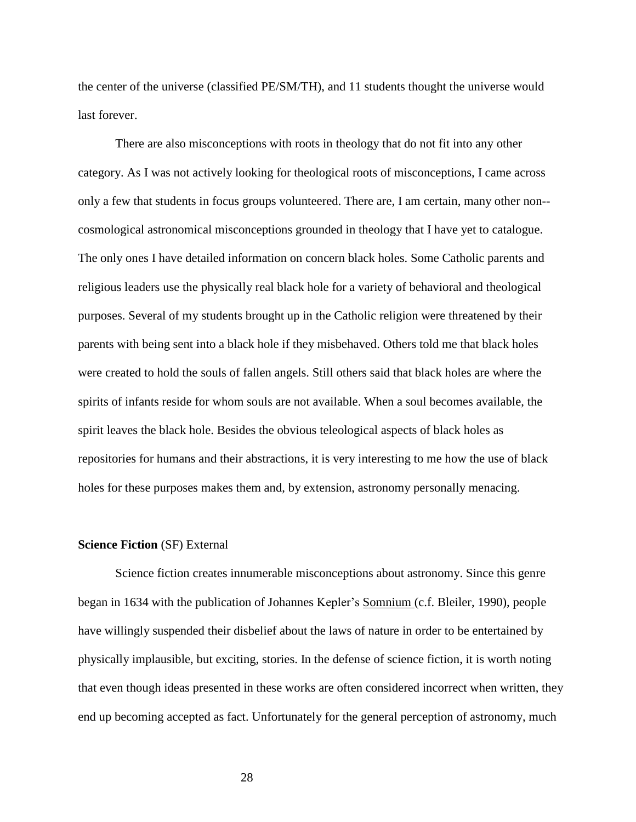the center of the universe (classified PE/SM/TH), and 11 students thought the universe would last forever.

There are also misconceptions with roots in theology that do not fit into any other category. As I was not actively looking for theological roots of misconceptions, I came across only a few that students in focus groups volunteered. There are, I am certain, many other non- cosmological astronomical misconceptions grounded in theology that I have yet to catalogue. The only ones I have detailed information on concern black holes. Some Catholic parents and religious leaders use the physically real black hole for a variety of behavioral and theological purposes. Several of my students brought up in the Catholic religion were threatened by their parents with being sent into a black hole if they misbehaved. Others told me that black holes were created to hold the souls of fallen angels. Still others said that black holes are where the spirits of infants reside for whom souls are not available. When a soul becomes available, the spirit leaves the black hole. Besides the obvious teleological aspects of black holes as repositories for humans and their abstractions, it is very interesting to me how the use of black holes for these purposes makes them and, by extension, astronomy personally menacing.

#### **Science Fiction** (SF) External

Science fiction creates innumerable misconceptions about astronomy. Since this genre began in 1634 with the publication of Johannes Kepler's Somnium (c.f. Bleiler, 1990), people have willingly suspended their disbelief about the laws of nature in order to be entertained by physically implausible, but exciting, stories. In the defense of science fiction, it is worth noting that even though ideas presented in these works are often considered incorrect when written, they end up becoming accepted as fact. Unfortunately for the general perception of astronomy, much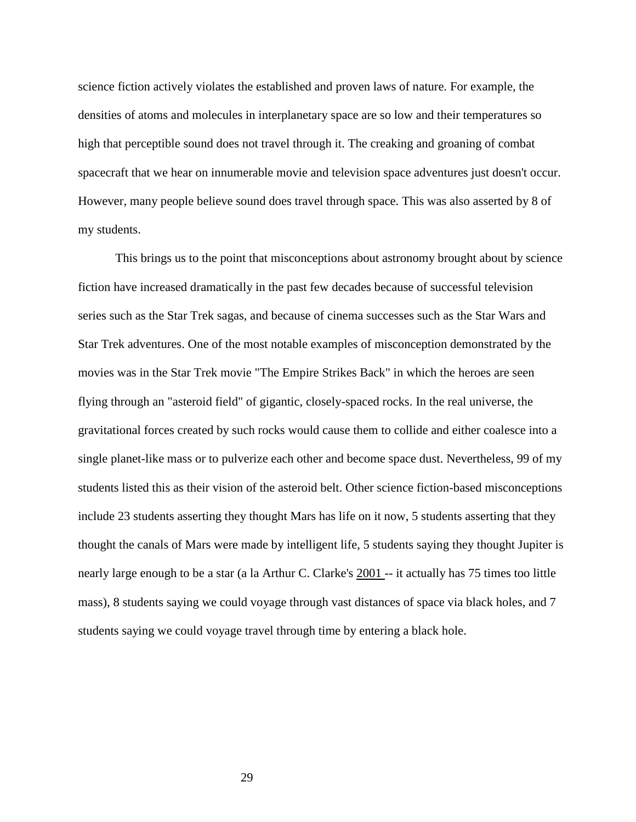science fiction actively violates the established and proven laws of nature. For example, the densities of atoms and molecules in interplanetary space are so low and their temperatures so high that perceptible sound does not travel through it. The creaking and groaning of combat spacecraft that we hear on innumerable movie and television space adventures just doesn't occur. However, many people believe sound does travel through space. This was also asserted by 8 of my students.

This brings us to the point that misconceptions about astronomy brought about by science fiction have increased dramatically in the past few decades because of successful television series such as the Star Trek sagas, and because of cinema successes such as the Star Wars and Star Trek adventures. One of the most notable examples of misconception demonstrated by the movies was in the Star Trek movie "The Empire Strikes Back" in which the heroes are seen flying through an "asteroid field" of gigantic, closely-spaced rocks. In the real universe, the gravitational forces created by such rocks would cause them to collide and either coalesce into a single planet-like mass or to pulverize each other and become space dust. Nevertheless, 99 of my students listed this as their vision of the asteroid belt. Other science fiction-based misconceptions include 23 students asserting they thought Mars has life on it now, 5 students asserting that they thought the canals of Mars were made by intelligent life, 5 students saying they thought Jupiter is nearly large enough to be a star (a la Arthur C. Clarke's  $2001$  -- it actually has 75 times too little mass), 8 students saying we could voyage through vast distances of space via black holes, and 7 students saying we could voyage travel through time by entering a black hole.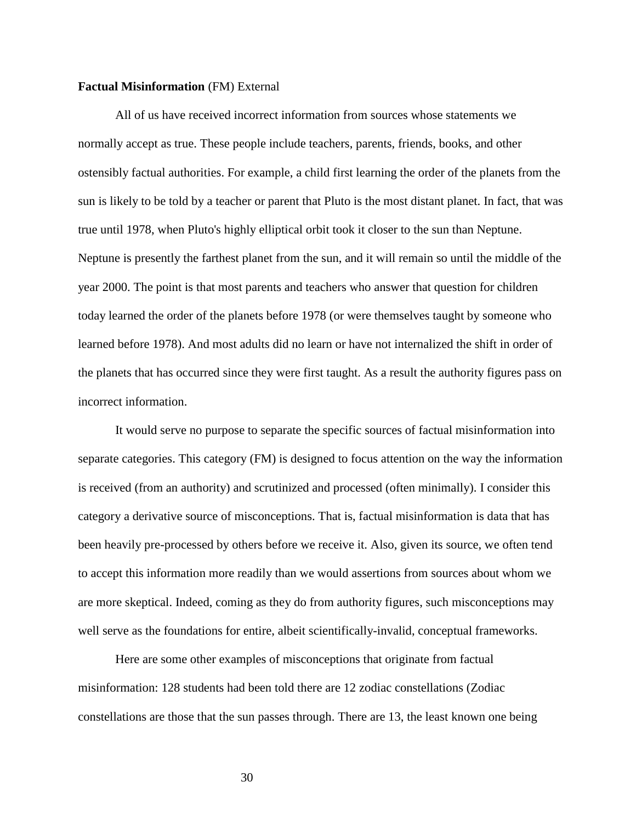#### **Factual Misinformation** (FM) External

All of us have received incorrect information from sources whose statements we normally accept as true. These people include teachers, parents, friends, books, and other ostensibly factual authorities. For example, a child first learning the order of the planets from the sun is likely to be told by a teacher or parent that Pluto is the most distant planet. In fact, that was true until 1978, when Pluto's highly elliptical orbit took it closer to the sun than Neptune. Neptune is presently the farthest planet from the sun, and it will remain so until the middle of the year 2000. The point is that most parents and teachers who answer that question for children today learned the order of the planets before 1978 (or were themselves taught by someone who learned before 1978). And most adults did no learn or have not internalized the shift in order of the planets that has occurred since they were first taught. As a result the authority figures pass on incorrect information.

It would serve no purpose to separate the specific sources of factual misinformation into separate categories. This category (FM) is designed to focus attention on the way the information is received (from an authority) and scrutinized and processed (often minimally). I consider this category a derivative source of misconceptions. That is, factual misinformation is data that has been heavily pre-processed by others before we receive it. Also, given its source, we often tend to accept this information more readily than we would assertions from sources about whom we are more skeptical. Indeed, coming as they do from authority figures, such misconceptions may well serve as the foundations for entire, albeit scientifically-invalid, conceptual frameworks.

Here are some other examples of misconceptions that originate from factual misinformation: 128 students had been told there are 12 zodiac constellations (Zodiac constellations are those that the sun passes through. There are 13, the least known one being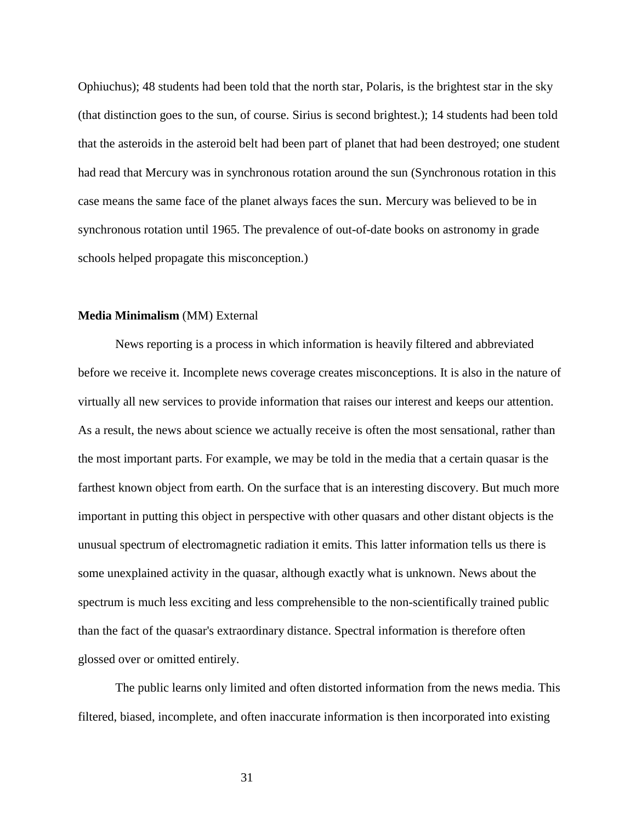Ophiuchus); 48 students had been told that the north star, Polaris, is the brightest star in the sky (that distinction goes to the sun, of course. Sirius is second brightest.); 14 students had been told that the asteroids in the asteroid belt had been part of planet that had been destroyed; one student had read that Mercury was in synchronous rotation around the sun (Synchronous rotation in this case means the same face of the planet always faces the sun. Mercury was believed to be in synchronous rotation until 1965. The prevalence of out-of-date books on astronomy in grade schools helped propagate this misconception.)

# **Media Minimalism** (MM) External

News reporting is a process in which information is heavily filtered and abbreviated before we receive it. Incomplete news coverage creates misconceptions. It is also in the nature of virtually all new services to provide information that raises our interest and keeps our attention. As a result, the news about science we actually receive is often the most sensational, rather than the most important parts. For example, we may be told in the media that a certain quasar is the farthest known object from earth. On the surface that is an interesting discovery. But much more important in putting this object in perspective with other quasars and other distant objects is the unusual spectrum of electromagnetic radiation it emits. This latter information tells us there is some unexplained activity in the quasar, although exactly what is unknown. News about the spectrum is much less exciting and less comprehensible to the non-scientifically trained public than the fact of the quasar's extraordinary distance. Spectral information is therefore often glossed over or omitted entirely.

The public learns only limited and often distorted information from the news media. This filtered, biased, incomplete, and often inaccurate information is then incorporated into existing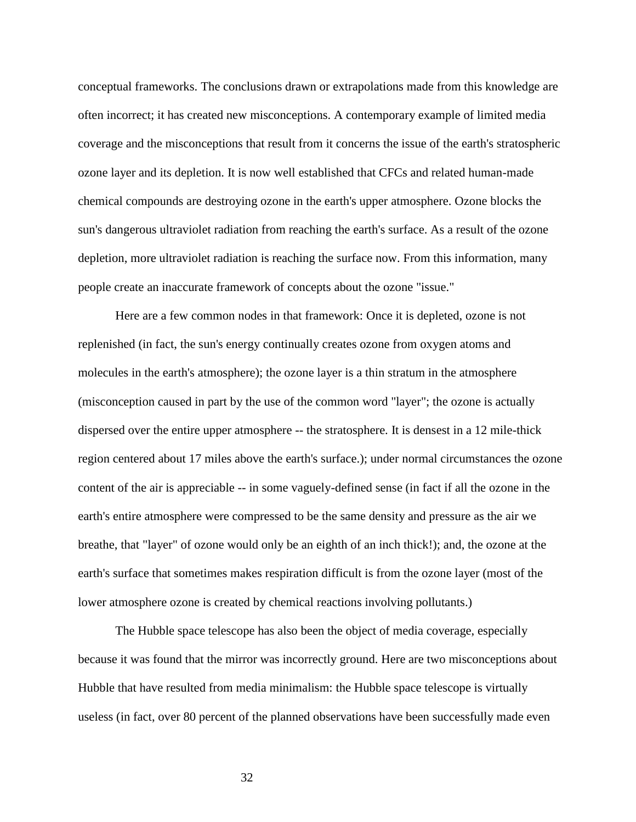conceptual frameworks. The conclusions drawn or extrapolations made from this knowledge are often incorrect; it has created new misconceptions. A contemporary example of limited media coverage and the misconceptions that result from it concerns the issue of the earth's stratospheric ozone layer and its depletion. It is now well established that CFCs and related human-made chemical compounds are destroying ozone in the earth's upper atmosphere. Ozone blocks the sun's dangerous ultraviolet radiation from reaching the earth's surface. As a result of the ozone depletion, more ultraviolet radiation is reaching the surface now. From this information, many people create an inaccurate framework of concepts about the ozone "issue."

Here are a few common nodes in that framework: Once it is depleted, ozone is not replenished (in fact, the sun's energy continually creates ozone from oxygen atoms and molecules in the earth's atmosphere); the ozone layer is a thin stratum in the atmosphere (misconception caused in part by the use of the common word "layer"; the ozone is actually dispersed over the entire upper atmosphere -- the stratosphere. It is densest in a 12 mile-thick region centered about 17 miles above the earth's surface.); under normal circumstances the ozone content of the air is appreciable -- in some vaguely-defined sense (in fact if all the ozone in the earth's entire atmosphere were compressed to be the same density and pressure as the air we breathe, that "layer" of ozone would only be an eighth of an inch thick!); and, the ozone at the earth's surface that sometimes makes respiration difficult is from the ozone layer (most of the lower atmosphere ozone is created by chemical reactions involving pollutants.)

The Hubble space telescope has also been the object of media coverage, especially because it was found that the mirror was incorrectly ground. Here are two misconceptions about Hubble that have resulted from media minimalism: the Hubble space telescope is virtually useless (in fact, over 80 percent of the planned observations have been successfully made even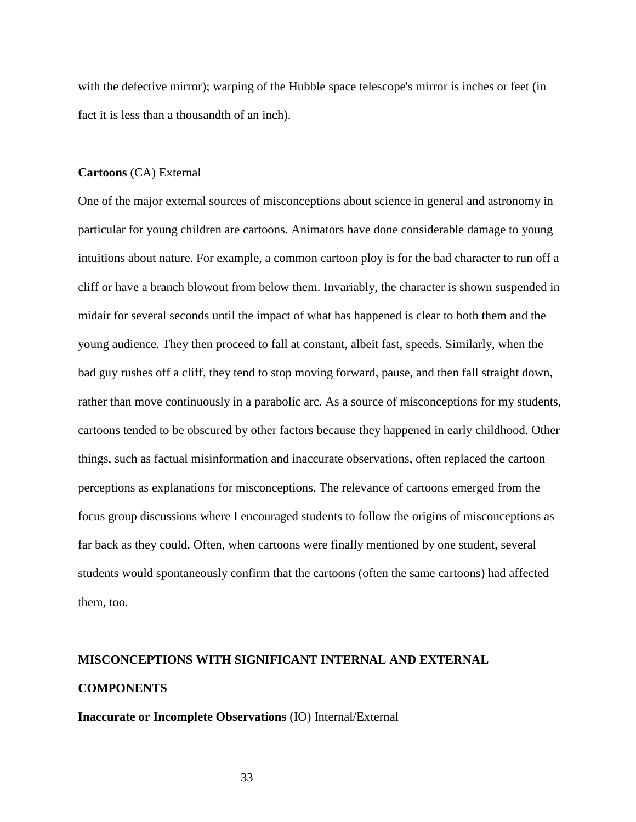with the defective mirror); warping of the Hubble space telescope's mirror is inches or feet (in fact it is less than a thousandth of an inch).

#### **Cartoons** (CA) External

One of the major external sources of misconceptions about science in general and astronomy in particular for young children are cartoons. Animators have done considerable damage to young intuitions about nature. For example, a common cartoon ploy is for the bad character to run off a cliff or have a branch blowout from below them. Invariably, the character is shown suspended in midair for several seconds until the impact of what has happened is clear to both them and the young audience. They then proceed to fall at constant, albeit fast, speeds. Similarly, when the bad guy rushes off a cliff, they tend to stop moving forward, pause, and then fall straight down, rather than move continuously in a parabolic arc. As a source of misconceptions for my students, cartoons tended to be obscured by other factors because they happened in early childhood. Other things, such as factual misinformation and inaccurate observations, often replaced the cartoon perceptions as explanations for misconceptions. The relevance of cartoons emerged from the focus group discussions where I encouraged students to follow the origins of misconceptions as far back as they could. Often, when cartoons were finally mentioned by one student, several students would spontaneously confirm that the cartoons (often the same cartoons) had affected them, too.

# **MISCONCEPTIONS WITH SIGNIFICANT INTERNAL AND EXTERNAL COMPONENTS**

# **Inaccurate or Incomplete Observations** (IO) Internal/External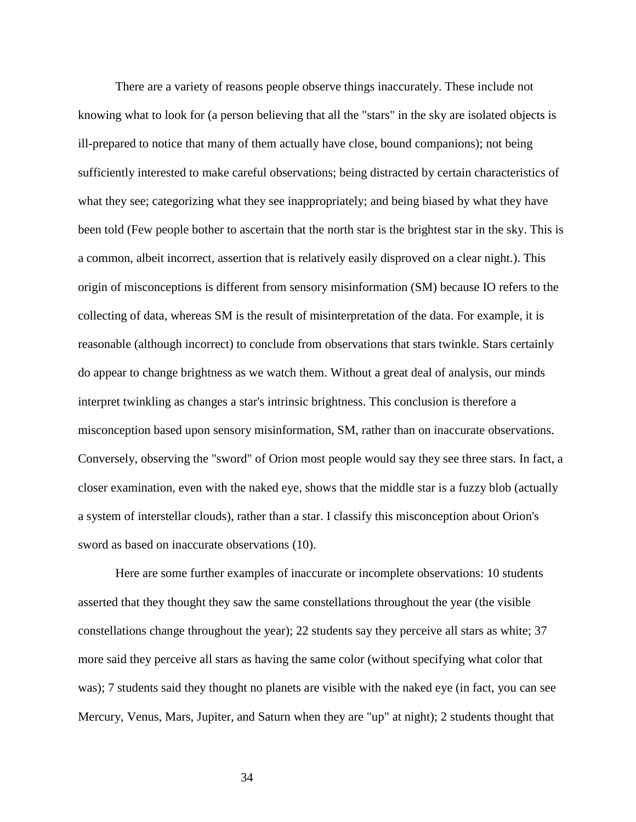There are a variety of reasons people observe things inaccurately. These include not knowing what to look for (a person believing that all the "stars" in the sky are isolated objects is ill-prepared to notice that many of them actually have close, bound companions); not being sufficiently interested to make careful observations; being distracted by certain characteristics of what they see; categorizing what they see inappropriately; and being biased by what they have been told (Few people bother to ascertain that the north star is the brightest star in the sky. This is a common, albeit incorrect, assertion that is relatively easily disproved on a clear night.). This origin of misconceptions is different from sensory misinformation (SM) because IO refers to the collecting of data, whereas SM is the result of misinterpretation of the data. For example, it is reasonable (although incorrect) to conclude from observations that stars twinkle. Stars certainly do appear to change brightness as we watch them. Without a great deal of analysis, our minds interpret twinkling as changes a star's intrinsic brightness. This conclusion is therefore a misconception based upon sensory misinformation, SM, rather than on inaccurate observations. Conversely, observing the "sword" of Orion most people would say they see three stars. In fact, a closer examination, even with the naked eye, shows that the middle star is a fuzzy blob (actually a system of interstellar clouds), rather than a star. I classify this misconception about Orion's sword as based on inaccurate observations (10).

Here are some further examples of inaccurate or incomplete observations: 10 students asserted that they thought they saw the same constellations throughout the year (the visible constellations change throughout the year); 22 students say they perceive all stars as white; 37 more said they perceive all stars as having the same color (without specifying what color that was); 7 students said they thought no planets are visible with the naked eye (in fact, you can see Mercury, Venus, Mars, Jupiter, and Saturn when they are "up" at night); 2 students thought that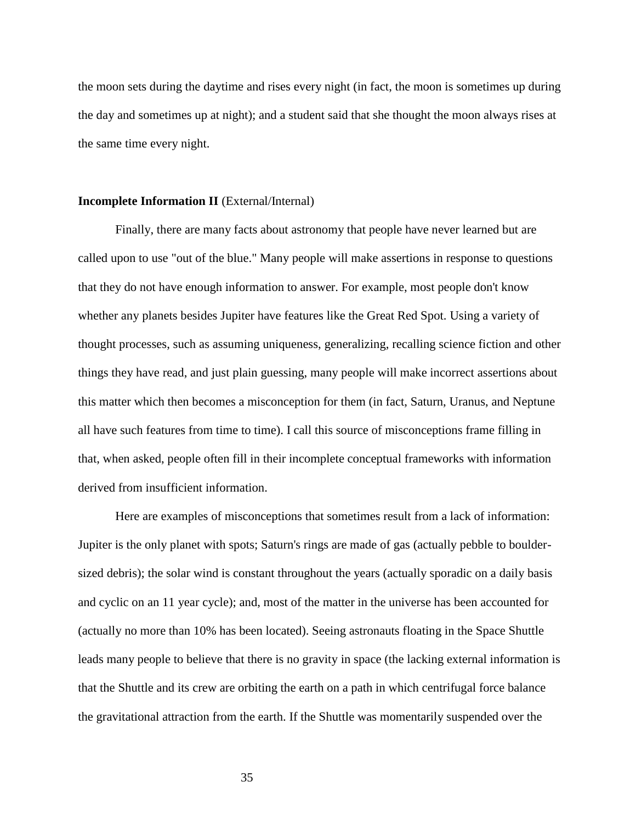the moon sets during the daytime and rises every night (in fact, the moon is sometimes up during the day and sometimes up at night); and a student said that she thought the moon always rises at the same time every night.

# **Incomplete Information II** (External/Internal)

Finally, there are many facts about astronomy that people have never learned but are called upon to use "out of the blue." Many people will make assertions in response to questions that they do not have enough information to answer. For example, most people don't know whether any planets besides Jupiter have features like the Great Red Spot. Using a variety of thought processes, such as assuming uniqueness, generalizing, recalling science fiction and other things they have read, and just plain guessing, many people will make incorrect assertions about this matter which then becomes a misconception for them (in fact, Saturn, Uranus, and Neptune all have such features from time to time). I call this source of misconceptions frame filling in that, when asked, people often fill in their incomplete conceptual frameworks with information derived from insufficient information.

Here are examples of misconceptions that sometimes result from a lack of information: Jupiter is the only planet with spots; Saturn's rings are made of gas (actually pebble to bouldersized debris); the solar wind is constant throughout the years (actually sporadic on a daily basis and cyclic on an 11 year cycle); and, most of the matter in the universe has been accounted for (actually no more than 10% has been located). Seeing astronauts floating in the Space Shuttle leads many people to believe that there is no gravity in space (the lacking external information is that the Shuttle and its crew are orbiting the earth on a path in which centrifugal force balance the gravitational attraction from the earth. If the Shuttle was momentarily suspended over the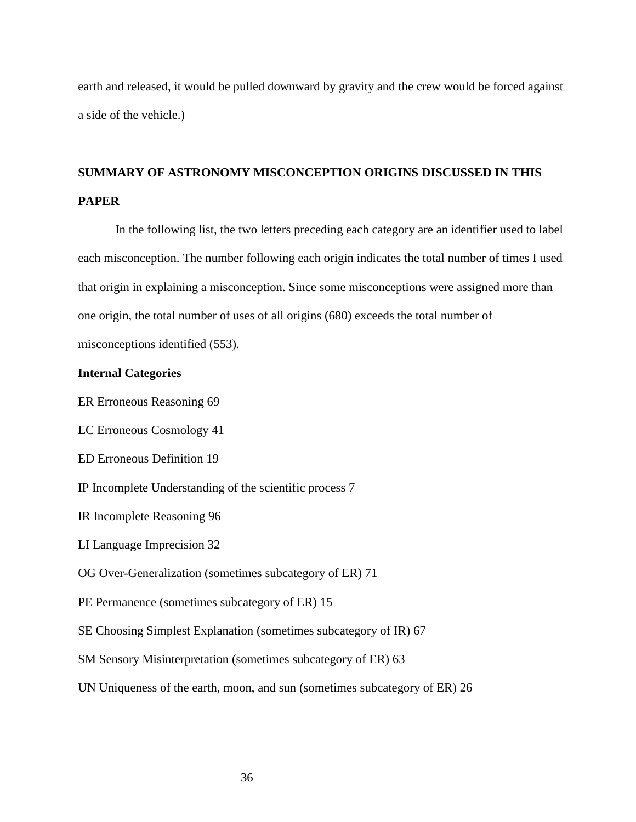earth and released, it would be pulled downward by gravity and the crew would be forced against a side of the vehicle.)

# **SUMMARY OF ASTRONOMY MISCONCEPTION ORIGINS DISCUSSED IN THIS PAPER**

In the following list, the two letters preceding each category are an identifier used to label each misconception. The number following each origin indicates the total number of times I used that origin in explaining a misconception. Since some misconceptions were assigned more than one origin, the total number of uses of all origins (680) exceeds the total number of misconceptions identified (553).

# **Internal Categories**

ER Erroneous Reasoning 69

EC Erroneous Cosmology 41

ED Erroneous Definition 19

IP Incomplete Understanding of the scientific process 7

IR Incomplete Reasoning 96

LI Language Imprecision 32

OG Over-Generalization (sometimes subcategory of ER) 71

PE Permanence (sometimes subcategory of ER) 15

SE Choosing Simplest Explanation (sometimes subcategory of IR) 67

SM Sensory Misinterpretation (sometimes subcategory of ER) 63

UN Uniqueness of the earth, moon, and sun (sometimes subcategory of ER) 26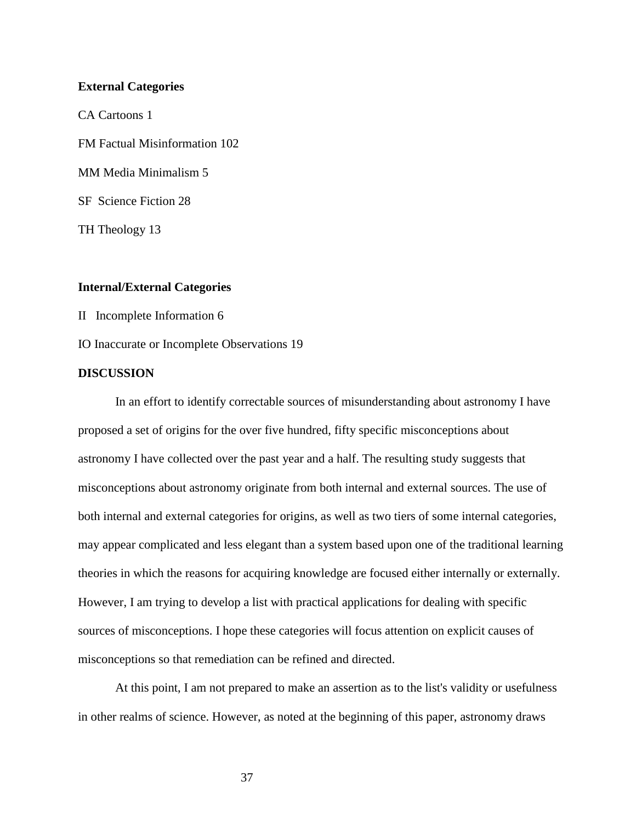#### **External Categories**

CA Cartoons 1 FM Factual Misinformation 102 MM Media Minimalism 5 SF Science Fiction 28 TH Theology 13

# **Internal/External Categories**

II Incomplete Information 6

IO Inaccurate or Incomplete Observations 19

#### **DISCUSSION**

In an effort to identify correctable sources of misunderstanding about astronomy I have proposed a set of origins for the over five hundred, fifty specific misconceptions about astronomy I have collected over the past year and a half. The resulting study suggests that misconceptions about astronomy originate from both internal and external sources. The use of both internal and external categories for origins, as well as two tiers of some internal categories, may appear complicated and less elegant than a system based upon one of the traditional learning theories in which the reasons for acquiring knowledge are focused either internally or externally. However, I am trying to develop a list with practical applications for dealing with specific sources of misconceptions. I hope these categories will focus attention on explicit causes of misconceptions so that remediation can be refined and directed.

At this point, I am not prepared to make an assertion as to the list's validity or usefulness in other realms of science. However, as noted at the beginning of this paper, astronomy draws